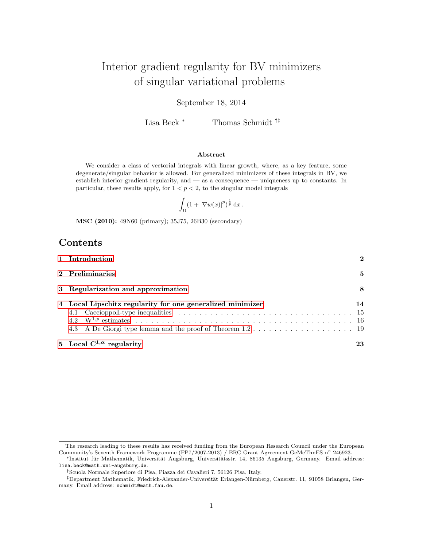# Interior gradient regularity for BV minimizers of singular variational problems

### September 18, 2014

Lisa Beck <sup>∗</sup> Thomas Schmidt †‡

#### Abstract

We consider a class of vectorial integrals with linear growth, where, as a key feature, some degenerate/singular behavior is allowed. For generalized minimizers of these integrals in BV, we establish interior gradient regularity, and — as a consequence — uniqueness up to constants. In particular, these results apply, for  $1 < p < 2$ , to the singular model integrals

$$
\int_{\Omega} (1+|\nabla w(x)|^p)^{\frac{1}{p}} dx.
$$

MSC (2010): 49N60 (primary); 35J75, 26B30 (secondary)

# Contents

| 1 Introduction                                             | 2  |
|------------------------------------------------------------|----|
| 2 Preliminaries                                            | 5  |
| 3 Regularization and approximation                         | 8  |
| 4 Local Lipschitz regularity for one generalized minimizer | 14 |
| 5 Local $C^{1,\alpha}$ regularity                          | 23 |

The research leading to these results has received funding from the European Research Council under the European Community's Seventh Framework Programme (FP7/2007-2013) / ERC Grant Agreement GeMeThnES n◦ 246923.

<sup>\*</sup>Institut für Mathematik, Universität Augsburg, Universitätsstr. 14, 86135 Augsburg, Germany. Email address: lisa.beck@math.uni-augsburg.de.

<sup>†</sup>Scuola Normale Superiore di Pisa, Piazza dei Cavalieri 7, 56126 Pisa, Italy.

<sup>&</sup>lt;sup>‡</sup>Department Mathematik, Friedrich-Alexander-Universität Erlangen-Nürnberg, Cauerstr. 11, 91058 Erlangen, Germany. Email address: schmidt@math.fau.de.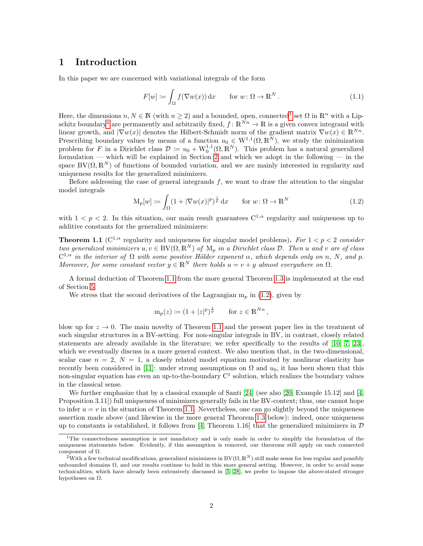### <span id="page-1-0"></span>1 Introduction

In this paper we are concerned with variational integrals of the form

<span id="page-1-5"></span>
$$
F[w] \coloneqq \int_{\Omega} f(\nabla w(x)) dx \quad \text{for } w \colon \Omega \to \mathbb{R}^N. \tag{1.1}
$$

Here, the dimensions  $n, N \in \mathbb{N}$  (with  $n \geq 2$ ) and a bounded, open, connected<sup>[1](#page-1-1)</sup> set  $\Omega$  in  $\mathbb{R}^n$  with a Lip-schitz boundary<sup>[2](#page-1-2)</sup> are permanently and arbitrarily fixed,  $f: \mathbb{R}^{\tilde{N}n} \to \mathbb{R}$  is a given convex integrand with linear growth, and  $|\nabla w(x)|$  denotes the Hilbert-Schmidt norm of the gradient matrix  $\nabla w(x) \in \mathbb{R}^{N_n}$ . Prescribing boundary values by means of a function  $u_0 \in W^{1,1}(\Omega,\mathbb{R}^N)$ , we study the minimization problem for F in a Dirichlet class  $\mathcal{D} := u_0 + W_0^{1,1}(\Omega,\mathbb{R}^N)$ . This problem has a natural generalized formulation — which will be explained in Section [2](#page-4-0) and which we adopt in the following — in the space  $BV(\Omega, \mathbb{R}^N)$  of functions of bounded variation, and we are mainly interested in regularity and uniqueness results for the generalized minimizers.

Before addressing the case of general integrands  $f$ , we want to draw the attention to the singular model integrals

<span id="page-1-4"></span>
$$
\mathcal{M}_p[w] \coloneqq \int_{\Omega} (1 + |\nabla w(x)|^p)^{\frac{1}{p}} dx \quad \text{for } w \colon \Omega \to \mathbb{R}^N \tag{1.2}
$$

with  $1 < p < 2$ . In this situation, our main result guarantees  $C^{1,\alpha}$  regularity and uniqueness up to additive constants for the generalized minimizers:

<span id="page-1-3"></span>**Theorem 1.1** ( $C^{1,\alpha}$  regularity and uniqueness for singular model problems). For  $1 < p < 2$  consider two generalized minimizers  $u, v \in BV(\Omega, \mathbb{R}^N)$  of  $M_p$  in a Dirichlet class  $\mathcal{D}$ . Then u and v are of class  $C^{1,\alpha}$  in the interior of  $\Omega$  with some positive Hölder exponent  $\alpha$ , which depends only on n, N, and p. Moreover, for some constant vector  $y \in \mathbb{R}^N$  there holds  $u = v + y$  almost everywhere on  $\Omega$ .

A formal deduction of Theorem [1.1](#page-1-3) from the more general Theorem [1.3](#page-3-0) is implemented at the end of Section [5.](#page-22-0)

We stress that the second derivatives of the Lagrangian  $m_p$  in [\(1.2\)](#page-1-4), given by

$$
m_p(z) := (1 + |z|^p)^{\frac{1}{p}}
$$
 for  $z \in \mathbb{R}^{N_n}$ ,

blow up for  $z \to 0$ . The main novelty of Theorem [1.1](#page-1-3) and the present paper lies in the treatment of such singular structures in a BV-setting. For non-singular integrals in BV, in contrast, closely related statements are already available in the literature; we refer specifically to the results of [\[10,](#page-25-0) [7,](#page-25-1) [23\]](#page-26-0), which we eventually discuss in a more general context. We also mention that, in the two-dimensional, scalar case  $n = 2$ ,  $N = 1$ , a closely related model equation motivated by nonlinear elasticity has recently been considered in [\[11\]](#page-26-1): under strong assumptions on  $\Omega$  and  $u_0$ , it has been shown that this non-singular equation has even an up-to-the-boundary  $C<sup>1</sup>$  solution, which realizes the boundary values in the classical sense.

We further emphasize that by a classical example of Santi [\[24\]](#page-26-2) (see also [\[20,](#page-26-3) Example 15.12] and [\[4,](#page-25-2) Proposition 3.11]) full uniqueness of minimizers generally fails in the BV-context; thus, one cannot hope to infer  $u = v$  in the situation of Theorem [1.1.](#page-1-3) Nevertheless, one can go slightly beyond the uniqueness assertion made above (and likewise in the more general Theorem [1.3](#page-3-0) below): indeed, once uniqueness up to constants is established, it follows from [\[4,](#page-25-2) Theorem 1.16] that the generalized minimizers in  $\mathcal D$ 

<span id="page-1-1"></span><sup>&</sup>lt;sup>1</sup>The connectedness assumption is not mandatory and is only made in order to simplify the formulation of the uniqueness statements below. Evidently, if this assumption is removed, our theorems still apply on each connected component of  $\Omega$ .

<span id="page-1-2"></span><sup>&</sup>lt;sup>2</sup>With a few technical modifications, generalized minimizers in BV $(\Omega, \mathbb{R}^N)$  still make sense for less regular and possibly unbounded domains Ω, and our results continue to hold in this more general setting. However, in order to avoid some technicalities, which have already been extensively discussed in [\[5,](#page-25-3) [28\]](#page-26-4), we prefer to impose the above-stated stronger hypotheses on  $\Omega$ .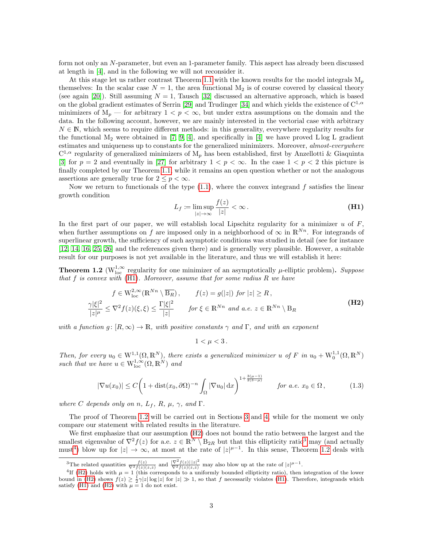form not only an N-parameter, but even an 1-parameter family. This aspect has already been discussed at length in [\[4\]](#page-25-2), and in the following we will not reconsider it.

At this stage let us rather contrast Theorem [1.1](#page-1-3) with the known results for the model integrals  $M_p$ themselves: In the scalar case  $N = 1$ , the area functional  $M_2$  is of course covered by classical theory (see again [\[20\]](#page-26-3)). Still assuming  $N = 1$ , Tausch [\[32\]](#page-26-5) discussed an alternative approach, which is based on the global gradient estimates of Serrin [\[29\]](#page-26-6) and Trudinger [\[34\]](#page-26-7) and which yields the existence of  $C^{1,\alpha}$ minimizers of  $M_p$  — for arbitrary  $1 < p < \infty$ , but under extra assumptions on the domain and the data. In the following account, however, we are mainly interested in the vectorial case with arbitrary  $N \in \mathbb{N}$ , which seems to require different methods: in this generality, everywhere regularity results for the functional  $M_2$  were obtained in [\[7,](#page-25-1) [9,](#page-25-4) [4\]](#page-25-2), and specifically in [\[4\]](#page-25-2) we have proved L log L gradient estimates and uniqueness up to constants for the generalized minimizers. Moreover, almost-everywhere  $C^{1,\alpha}$  regularity of generalized minimizers of  $M_p$  has been established, first by Anzellotti & Giaquinta [\[3\]](#page-25-5) for  $p = 2$  and eventually in [\[27\]](#page-26-8) for arbitrary  $1 < p < \infty$ . In the case  $1 < p < 2$  this picture is finally completed by our Theorem [1.1,](#page-1-3) while it remains an open question whether or not the analogous assertions are generally true for  $2 \leq p < \infty$ .

Now we return to functionals of the type  $(1.1)$ , where the convex integrand f satisfies the linear growth condition

<span id="page-2-5"></span><span id="page-2-0"></span>
$$
L_f \coloneqq \limsup_{|z| \to \infty} \frac{f(z)}{|z|} < \infty. \tag{H1}
$$

In the first part of our paper, we will establish local Lipschitz regularity for a minimizer  $u$  of  $F$ , when further assumptions on f are imposed only in a neighborhood of  $\infty$  in  $\mathbb{R}^{N_n}$ . For integrands of superlinear growth, the sufficiency of such asymptotic conditions was studied in detail (see for instance [\[12,](#page-26-9) [14,](#page-26-10) [16,](#page-26-11) [25,](#page-26-12) [26\]](#page-26-13) and the references given there) and is generally very plausible. However, a suitable result for our purposes is not yet available in the literature, and thus we will establish it here:

<span id="page-2-1"></span>**Theorem 1.2** ( $W^{1,\infty}_{loc}$  regularity for one minimizer of an asymptotically  $\mu$ -elliptic problem). Suppose that  $f$  is convex with  $(H1)$ . Moreover, assume that for some radius  $R$  we have

$$
f \in W_{loc}^{2,\infty}(\mathbb{R}^{Nn} \setminus \overline{B_R}), \qquad f(z) = g(|z|) \text{ for } |z| \ge R,
$$
  

$$
\frac{\gamma |\xi|^2}{|z|^\mu} \le \nabla^2 f(z)(\xi, \xi) \le \frac{\Gamma |\xi|^2}{|z|} \qquad \text{for } \xi \in \mathbb{R}^{Nn} \text{ and a.e. } z \in \mathbb{R}^{Nn} \setminus B_R
$$
 (H2)

with a function  $g: [R, \infty) \to \mathbb{R}$ , with positive constants  $\gamma$  and  $\Gamma$ , and with an exponent

<span id="page-2-2"></span>
$$
1<\mu<3\,.
$$

Then, for every  $u_0 \in W_1^{1,1}(\Omega,\mathbb{R}^N)$ , there exists a generalized minimizer u of F in  $u_0 + W_0^{1,1}(\Omega,\mathbb{R}^N)$ such that we have  $u \in W^{1,\infty}_{loc}(\Omega,\mathbb{R}^N)$  and

$$
|\nabla u(x_0)| \le C\left(1 + \text{dist}(x_0, \partial\Omega)^{-n} \int_{\Omega} |\nabla u_0| \, \mathrm{d}x\right)^{1 + \frac{3(\mu - 1)}{2(3 - \mu)}} \quad \text{for a.e. } x_0 \in \Omega, \tag{1.3}
$$

where C depends only on n,  $L_f$ , R,  $\mu$ ,  $\gamma$ , and  $\Gamma$ .

The proof of Theorem [1.2](#page-2-1) will be carried out in Sections [3](#page-7-0) and [4,](#page-13-0) while for the moment we only compare our statement with related results in the literature.

We first emphasize that our assumption [\(H2\)](#page-2-2) does not bound the ratio between the largest and the smallest eigenvalue of  $\nabla^2 f(z)$  for a.e.  $z \in \mathbb{R}^N \setminus \mathcal{B}_{2R}$  but that this ellipticity ratio<sup>[3](#page-2-3)</sup> may (and actually must<sup>[4](#page-2-4)</sup>) blow up for  $|z| \to \infty$ , at most at the rate of  $|z|^{\mu-1}$ . In this sense, Theorem [1.2](#page-2-1) deals with

<span id="page-2-4"></span><span id="page-2-3"></span><sup>&</sup>lt;sup>3</sup>The related quantities  $\frac{f(z)}{\nabla^2 f(z)(z,z)}$  and  $\frac{|\nabla^2 f(z)| |z|^2}{\nabla^2 f(z)(z,z)}$  may also blow up at the rate of  $|z|^{\mu-1}$ .

<sup>&</sup>lt;sup>4</sup>If [\(H2\)](#page-2-2) holds with  $\mu = 1$  (this corresponds to a uniformly bounded ellipticity ratio), then integration of the lower bound in [\(H2\)](#page-2-2) shows  $f(z) \geq \frac{1}{2}\gamma |z| \log |z|$  for  $|z| \gg 1$ , so that f necessarily violates [\(H1\)](#page-2-0). Therefore, integrands which satisfy [\(H1\)](#page-2-0) and [\(H2\)](#page-2-2) with  $\mu = 1$  do not exist.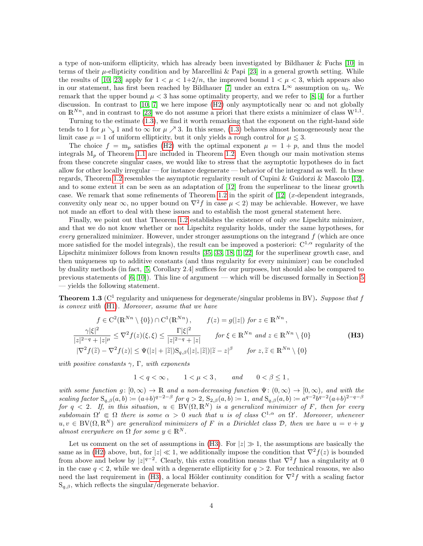a type of non-uniform ellipticity, which has already been investigated by Bildhauer & Fuchs [\[10\]](#page-25-0) in terms of their  $\mu$ -ellipticity condition and by Marcellini & Papi [\[23\]](#page-26-0) in a general growth setting. While the results of [\[10,](#page-25-0) [23\]](#page-26-0) apply for  $1 < \mu < 1+2/n$ , the improved bound  $1 < \mu < 3$ , which appears also in our statement, has first been reached by Bildhauer [\[7\]](#page-25-1) under an extra  $L^{\infty}$  assumption on  $u_0$ . We remark that the upper bound  $\mu < 3$  has some optimality property, and we refer to [\[8,](#page-25-6) [4\]](#page-25-2) for a further discussion. In contrast to [\[10,](#page-25-0) [7\]](#page-25-1) we here impose [\(H2\)](#page-2-2) only asymptotically near  $\infty$  and not globally on  $\mathbb{R}^{Nn}$ , and in contrast to [\[23\]](#page-26-0) we do not assume a priori that there exists a minimizer of class  $W^{1,1}$ .

Turning to the estimate [\(1.3\)](#page-2-5), we find it worth remarking that the exponent on the right-hand side tends to 1 for  $\mu \searrow 1$  and to  $\infty$  for  $\mu \nearrow 3$ . In this sense, [\(1.3\)](#page-2-5) behaves almost homogeneously near the limit case  $\mu = 1$  of uniform ellipticity, but it only yields a rough control for  $\mu \leq 3$ .

The choice  $f = m_p$  satisfies [\(H2\)](#page-2-2) with the optimal exponent  $\mu = 1 + p$ , and thus the model integrals  $M_p$  of Theorem [1.1](#page-1-3) are included in Theorem [1.2.](#page-2-1) Even though our main motivation stems from these concrete singular cases, we would like to stress that the asymptotic hypotheses do in fact allow for other locally irregular — for instance degenerate — behavior of the integrand as well. In these regards, Theorem [1.2](#page-2-1) resembles the asymptotic regularity result of Cupini & Guidorzi & Mascolo [\[12\]](#page-26-9), and to some extent it can be seen as an adaptation of [\[12\]](#page-26-9) from the superlinear to the linear growth case. We remark that some refinements of Theorem [1.2](#page-2-1) in the spirit of  $[12]$  (x-dependent integrands, convexity only near  $\infty$ , no upper bound on  $\nabla^2 f$  in case  $\mu < 2$ ) may be achievable. However, we have not made an effort to deal with these issues and to establish the most general statement here.

Finally, we point out that Theorem [1.2](#page-2-1) establishes the existence of only *one* Lipschitz minimizer, and that we do not know whether or not Lipschitz regularity holds, under the same hypotheses, for every generalized minimizer. However, under stronger assumptions on the integrand  $f$  (which are once more satisfied for the model integrals), the result can be improved a posteriori:  $C^{1,\alpha}$  regularity of the Lipschitz minimizer follows from known results [\[35,](#page-26-14) [33,](#page-26-15) [18,](#page-26-16) [1,](#page-25-7) [22\]](#page-26-17) for the superlinear growth case, and then uniqueness up to additive constants (and thus regularity for every minimizer) can be concluded by duality methods (in fact, [\[5,](#page-25-3) Corollary 2.4] suffices for our purposes, but should also be compared to previous statements of [\[6,](#page-25-8) [10\]](#page-25-0)). This line of argument — which will be discussed formally in Section [5](#page-22-0) — yields the following statement.

<span id="page-3-0"></span>**Theorem 1.3** ( $C^1$  regularity and uniqueness for degenerate/singular problems in BV). Suppose that f is convex with [\(H1\)](#page-2-0). Moreover, assume that we have

$$
f \in \mathcal{C}^2(\mathbb{R}^{Nn} \setminus \{0\}) \cap \mathcal{C}^1(\mathbb{R}^{Nn}), \qquad f(z) = g(|z|) \text{ for } z \in \mathbb{R}^{Nn},
$$
  

$$
\frac{\gamma |\xi|^2}{|z|^{2-q} + |z|^{\mu}} \le \nabla^2 f(z)(\xi, \xi) \le \frac{\Gamma |\xi|^2}{|z|^{2-q} + |z|} \qquad \text{for } \xi \in \mathbb{R}^{Nn} \text{ and } z \in \mathbb{R}^{Nn} \setminus \{0\}
$$
  

$$
|\nabla^2 f(\tilde{z}) - \nabla^2 f(z)| \le \Psi(|z| + |\tilde{z}|) \mathcal{S}_{q,\beta}(|z|, |\tilde{z}|) |\tilde{z} - z|^{\beta} \qquad \text{for } z, \tilde{z} \in \mathbb{R}^{Nn} \setminus \{0\}
$$
 (H3)

with positive constants  $\gamma$ , Γ, with exponents

<span id="page-3-1"></span>
$$
1 < q < \infty, \qquad 1 < \mu < 3, \qquad \text{and} \qquad 0 < \beta \le 1,
$$

with some function  $g: [0, \infty) \to \mathbb{R}$  and a non-decreasing function  $\Psi: (0, \infty) \to [0, \infty)$ , and with the scaling factor  $S_{q,\beta}(a,b) \coloneqq (a+b)^{q-2-\beta}$  for  $q > 2$ ,  $S_{2,\beta}(a,b) \coloneqq 1$ , and  $S_{q,\beta}(a,b) \coloneqq a^{q-2}b^{q-2}(a+b)^{2-q-\beta}$ for  $q < 2$ . If, in this situation,  $u \in BV(\Omega, \mathbb{R}^N)$  is a generalized minimizer of F, then for every  $subdomain \Omega' \in \Omega$  there is some  $\alpha > 0$  such that u is of class  $C^{1,\alpha}$  on  $\Omega'$ . Moreover, whenever  $u, v \in BV(\Omega, \mathbb{R}^N)$  are generalized minimizers of F in a Dirichlet class D, then we have  $u = v + y$ almost everywhere on  $\Omega$  for some  $y \in \mathbb{R}^N$ .

Let us comment on the set of assumptions in [\(H3\)](#page-3-1). For  $|z| \gg 1$ , the assumptions are basically the same as in [\(H2\)](#page-2-2) above, but, for  $|z| \ll 1$ , we additionally impose the condition that  $\nabla^2 f(z)$  is bounded from above and below by  $|z|^{q-2}$ . Clearly, this extra condition means that  $\nabla^2 f$  has a singularity at 0 in the case  $q < 2$ , while we deal with a degenerate ellipticity for  $q > 2$ . For technical reasons, we also need the last requirement in [\(H3\)](#page-3-1), a local Hölder continuity condition for  $\nabla^2 f$  with a scaling factor  $S_{q,\beta}$ , which reflects the singular/degenerate behavior.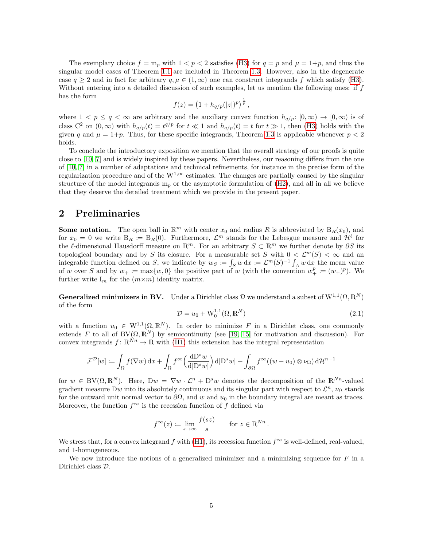The exemplary choice  $f = m_p$  with  $1 < p < 2$  satisfies [\(H3\)](#page-3-1) for  $q = p$  and  $\mu = 1+p$ , and thus the singular model cases of Theorem [1.1](#page-1-3) are included in Theorem [1.3.](#page-3-0) However, also in the degenerate case  $q \ge 2$  and in fact for arbitrary  $q, \mu \in (1, \infty)$  one can construct integrands f which satisfy [\(H3\)](#page-3-1). Without entering into a detailed discussion of such examples, let us mention the following ones: if  $f$ has the form

$$
f(z) = \left(1 + h_{q/p}(|z|)^p\right)^{\frac{1}{p}},
$$

where  $1 < p \le q < \infty$  are arbitrary and the auxiliary convex function  $h_{q/p} : [0, \infty) \to [0, \infty)$  is of class  $C^2$  on  $(0,\infty)$  with  $h_{q/p}(t) = t^{q/p}$  for  $t \ll 1$  and  $h_{q/p}(t) = t$  for  $t \gg 1$ , then [\(H3\)](#page-3-1) holds with the given q and  $\mu = 1+p$ . Thus, for these specific integrands, Theorem [1.3](#page-3-0) is applicable whenever  $p < 2$ holds.

To conclude the introductory exposition we mention that the overall strategy of our proofs is quite close to [\[10,](#page-25-0) [7\]](#page-25-1) and is widely inspired by these papers. Nevertheless, our reasoning differs from the one of [\[10,](#page-25-0) [7\]](#page-25-1) in a number of adaptations and technical refinements, for instance in the precise form of the regularization procedure and of the  $W^{1,\infty}$  estimates. The changes are partially caused by the singular structure of the model integrands  $m_p$  or the asymptotic formulation of  $(H2)$ , and all in all we believe that they deserve the detailed treatment which we provide in the present paper.

## <span id="page-4-0"></span>2 Preliminaries

**Some notation.** The open ball in  $\mathbb{R}^m$  with center  $x_0$  and radius R is abbreviated by  $B_R(x_0)$ , and for  $x_0 = 0$  we write  $B_R := B_R(0)$ . Furthermore,  $\mathcal{L}^m$  stands for the Lebesgue measure and  $\mathcal{H}^{\ell}$  for the l-dimensional Hausdorff measure on  $\mathbb{R}^m$ . For an arbitrary  $S \subset \mathbb{R}^m$  we further denote by  $\partial S$  its topological boundary and by  $\overline{S}$  its closure. For a measurable set S with  $0 < \mathcal{L}^m(S) < \infty$  and an integrable function defined on S, we indicate by  $w_S := \int_S w \, dx \coloneqq \mathcal{L}^m(S)^{-1} \int_A w \, dx$  the mean value of w over S and by  $w_+ := \max\{w, 0\}$  the positive part of w (with the convention  $w_+^p := (w_+)^p$ ). We further write  $I_m$  for the  $(m \times m)$  identity matrix.

**Generalized minimizers in BV.** Under a Dirichlet class  $\mathcal{D}$  we understand a subset of  $W^{1,1}(\Omega,\mathbb{R}^N)$ of the form

$$
\mathcal{D} = u_0 + \mathcal{W}_0^{1,1}(\Omega, \mathbb{R}^N)
$$
\n(2.1)

with a function  $u_0 \in W^{1,1}(\Omega,\mathbb{R}^N)$ . In order to minimize F in a Dirichlet class, one commonly extends F to all of BV $(\Omega, \mathbb{R}^N)$  by semicontinuity (see [\[19,](#page-26-18) [15\]](#page-26-19) for motivation and discussion). For convex integrands  $f: \mathbb{R}^N \to \mathbb{R}$  with [\(H1\)](#page-2-0) this extension has the integral representation

$$
\mathcal{F}^{\mathcal{D}}[w] := \int_{\Omega} f(\nabla w) \,dx + \int_{\Omega} f^{\infty}\left(\frac{\mathrm{d}D^s w}{\mathrm{d}|D^s w|}\right) \mathrm{d}|D^s w| + \int_{\partial \Omega} f^{\infty}((w - u_0) \otimes \nu_{\Omega}) \,d\mathcal{H}^{n-1}
$$

for  $w \in BV(\Omega, \mathbb{R}^N)$ . Here,  $Dw = \nabla w \cdot \mathcal{L}^n + D^s w$  denotes the decomposition of the  $\mathbb{R}^{Nn}$ -valued gradient measure Dw into its absolutely continuous and its singular part with respect to  $\mathcal{L}^n$ ,  $\nu_{\Omega}$  stands for the outward unit normal vector to  $\partial\Omega$ , and w and  $u_0$  in the boundary integral are meant as traces. Moreover, the function  $f^{\infty}$  is the recession function of  $f$  defined via

$$
f^{\infty}(z) \coloneqq \lim_{s \to \infty} \frac{f(sz)}{s} \quad \text{for } z \in \mathbb{R}^{Nn}.
$$

We stress that, for a convex integrand f with [\(H1\)](#page-2-0), its recession function  $f^{\infty}$  is well-defined, real-valued, and 1-homogeneous.

We now introduce the notions of a generalized minimizer and a minimizing sequence for  $F$  in a Dirichlet class D.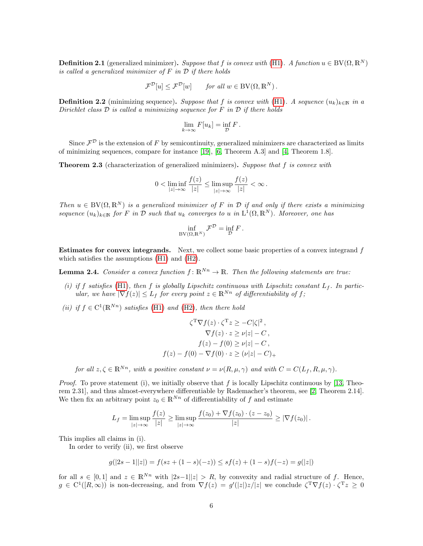<span id="page-5-3"></span>**Definition 2.1** (generalized minimizer). Suppose that f is convex with [\(H1\)](#page-2-0). A function  $u \in BV(\Omega, \mathbb{R}^N)$ is called a generalized minimizer of  $F$  in  $D$  if there holds

$$
\mathcal{F}^{\mathcal{D}}[u] \leq \mathcal{F}^{\mathcal{D}}[w] \quad \text{for all } w \in BV(\Omega, \mathbb{R}^N).
$$

<span id="page-5-1"></span>**Definition 2.2** (minimizing sequence). Suppose that f is convex with [\(H1\)](#page-2-0). A sequence  $(u_k)_{k\in\mathbb{N}}$  in a Dirichlet class  $D$  is called a minimizing sequence for  $F$  in  $D$  if there holds

$$
\lim_{k \to \infty} F[u_k] = \inf_{\mathcal{D}} F.
$$

Since  $\mathcal{F}^{\mathcal{D}}$  is the extension of F by semicontinuity, generalized minimizers are characterized as limits of minimizing sequences, compare for instance [\[19\]](#page-26-18), [\[6,](#page-25-8) Theorem A.3] and [\[4,](#page-25-2) Theorem 1.8].

<span id="page-5-2"></span>**Theorem 2.3** (characterization of generalized minimizers). Suppose that f is convex with

$$
0 < \liminf_{|z| \to \infty} \frac{f(z)}{|z|} \le \limsup_{|z| \to \infty} \frac{f(z)}{|z|} < \infty \, .
$$

Then  $u \in BV(\Omega, \mathbb{R}^N)$  is a generalized minimizer of F in D if and only if there exists a minimizing sequence  $(u_k)_{k\in\mathbb{N}}$  for F in D such that  $u_k$  converges to u in  $L^1(\Omega,\mathbb{R}^N)$ . Moreover, one has

$$
\inf_{\mathrm{BV}(\Omega,\mathbb{R}^N)} \mathcal{F}^{\mathcal{D}} = \inf_{\mathcal{D}} F.
$$

**Estimates for convex integrands.** Next, we collect some basic properties of a convex integrand  $f$ which satisfies the assumptions [\(H1\)](#page-2-0) and [\(H2\)](#page-2-2).

<span id="page-5-0"></span>**Lemma 2.4.** Consider a convex function  $f: \mathbb{R}^{Nn} \to \mathbb{R}$ . Then the following statements are true:

- (i) if f satisfies [\(H1\)](#page-2-0), then f is globally Lipschitz continuous with Lipschitz constant  $L_f$ . In particular, we have  $|\nabla f(z)| \leq L_f$  for every point  $z \in \mathbb{R}^{N_n}$  of differentiability of f;
- (ii) if  $f \in C^1(\mathbb{R}^{Nn})$  satisfies [\(H1\)](#page-2-0) and [\(H2\)](#page-2-2), then there hold

$$
\zeta^{\mathrm{T}} \nabla f(z) \cdot \zeta^{\mathrm{T}} z \ge -C|\zeta|^2,
$$
  
\n
$$
\nabla f(z) \cdot z \ge \nu |z| - C,
$$
  
\n
$$
f(z) - f(0) \ge \nu |z| - C,
$$
  
\n
$$
f(z) - f(0) - \nabla f(0) \cdot z \ge (\nu |z| - C)_+
$$

for all  $z, \zeta \in \mathbb{R}^{N_n}$ , with a positive constant  $\nu = \nu(R, \mu, \gamma)$  and with  $C = C(L_f, R, \mu, \gamma)$ .

*Proof.* To prove statement (i), we initially observe that  $f$  is locally Lipschitz continuous by [\[13,](#page-26-20) Theorem 2.31], and thus almost-everywhere differentiable by Rademacher's theorem, see [\[2,](#page-25-9) Theorem 2.14]. We then fix an arbitrary point  $z_0 \in \mathbb{R}^{N_n}$  of differentiability of f and estimate

$$
L_f = \limsup_{|z| \to \infty} \frac{f(z)}{|z|} \ge \limsup_{|z| \to \infty} \frac{f(z_0) + \nabla f(z_0) \cdot (z - z_0)}{|z|} \ge |\nabla f(z_0)|.
$$

This implies all claims in (i).

In order to verify (ii), we first observe

$$
g(|2s - 1||z|) = f(sz + (1 - s)(-z)) \le sf(z) + (1 - s)f(-z) = g(|z|)
$$

for all  $s \in [0,1]$  and  $z \in \mathbb{R}^{Nn}$  with  $|2s-1||z| > R$ , by convexity and radial structure of f. Hence,  $g \in C^1([R,\infty))$  is non-decreasing, and from  $\nabla f(z) = g'(|z|)z/|z|$  we conclude  $\zeta^T \nabla f(z) \cdot \zeta^T z \geq 0$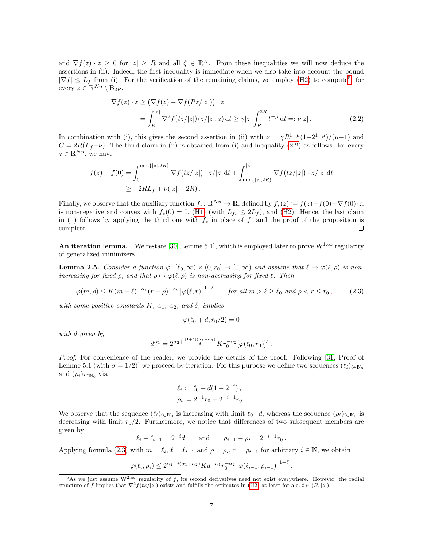and  $\nabla f(z) \cdot z \geq 0$  for  $|z| \geq R$  and all  $\zeta \in \mathbb{R}^N$ . From these inequalities we will now deduce the assertions in (ii). Indeed, the first inequality is immediate when we also take into account the bound  $|\nabla f| \leq L_f$  from (i). For the verification of the remaining claims, we employ [\(H2\)](#page-2-2) to compute<sup>[5](#page-6-0)</sup>, for every  $z \in \mathbb{R}^{Nn} \setminus B_{2R}$ ,

<span id="page-6-1"></span>
$$
\nabla f(z) \cdot z \ge \left(\nabla f(z) - \nabla f(Rz/|z|)\right) \cdot z
$$
  
= 
$$
\int_{R}^{|z|} \nabla^2 f(tz/|z|) (z/|z|, z) dt \ge \gamma |z| \int_{R}^{2R} t^{-\mu} dt =: \nu |z|.
$$
 (2.2)

In combination with (i), this gives the second assertion in (ii) with  $\nu = \gamma R^{1-\mu}(1-2^{1-\mu})/(\mu-1)$  and  $C = 2R(L_f+\nu)$ . The third claim in (ii) is obtained from (i) and inequality [\(2.2\)](#page-6-1) as follows: for every  $z \in \mathbb{R}^{Nn}$ , we have

$$
f(z) - f(0) = \int_0^{\min\{|z|, 2R\}} \nabla f(tz/|z|) \cdot z/|z| dt + \int_{\min\{|z|, 2R\}}^{|z|} \nabla f(tz/|z|) \cdot z/|z| dt
$$
  
 
$$
\geq -2RL_f + \nu(|z| - 2R).
$$

Finally, we observe that the auxiliary function  $f_* : \mathbb{R}^{Nn} \to \mathbb{R}$ , defined by  $f_*(z) := f(z) - f(0) - \nabla f(0) \cdot z$ , is non-negative and convex with  $f_*(0) = 0$ , [\(H1\)](#page-2-0) (with  $L_{f_*} \leq 2L_f$ ), and [\(H2\)](#page-2-2). Hence, the last claim in (ii) follows by applying the third one with  $f_*$  in place of f, and the proof of the proposition is complete.  $\Box$ 

An iteration lemma. We restate [\[30,](#page-26-21) Lemme 5.1], which is employed later to prove  $W^{1,\infty}$  regularity of generalized minimizers.

<span id="page-6-3"></span>**Lemma 2.5.** Consider a function  $\varphi : [\ell_0, \infty) \times (0, r_0] \to [0, \infty)$  and assume that  $\ell \mapsto \varphi(\ell, \rho)$  is nonincreasing for fixed  $\rho$ , and that  $\rho \mapsto \varphi(\ell, \rho)$  is non-decreasing for fixed  $\ell$ . Then

<span id="page-6-2"></span>
$$
\varphi(m,\rho) \le K(m-\ell)^{-\alpha_1}(r-\rho)^{-\alpha_2} \left[\varphi(\ell,r)\right]^{1+\delta} \qquad \text{for all } m > \ell \ge \ell_0 \text{ and } \rho < r \le r_0 \,,\tag{2.3}
$$

with some positive constants K,  $\alpha_1$ ,  $\alpha_2$ , and  $\delta$ , implies

$$
\varphi(\ell_0 + d, r_0/2) = 0
$$

with d given by

$$
d^{\alpha_1} = 2^{\alpha_2 + \frac{(1+\delta)(\alpha_1 + \alpha_2)}{\delta}} K r_0^{-\alpha_2} [\varphi(\ell_0, r_0)]^{\delta}.
$$

Proof. For convenience of the reader, we provide the details of the proof. Following [\[31,](#page-26-22) Proof of Lemme 5.1 (with  $\sigma = 1/2$ ) we proceed by iteration. For this purpose we define two sequences  $(\ell_i)_{i \in \mathbb{N}_0}$ and  $(\rho_i)_{i\in\mathbb{N}_0}$  via

$$
\ell_i := \ell_0 + d(1 - 2^{-i}),
$$
  

$$
\rho_i := 2^{-1}r_0 + 2^{-i-1}r_0.
$$

We observe that the sequence  $(\ell_i)_{i\in\mathbb{N}_0}$  is increasing with limit  $\ell_0+d$ , whereas the sequence  $(\rho_i)_{i\in\mathbb{N}_0}$  is decreasing with limit  $r_0/2$ . Furthermore, we notice that differences of two subsequent members are given by

 $\ell_i - \ell_{i-1} = 2^{-i}d$  and  $\rho_{i-1} - \rho_i = 2^{-i-1}r_0$ .

Applying formula [\(2.3\)](#page-6-2) with  $m = \ell_i$ ,  $\ell = \ell_{i-1}$  and  $\rho = \rho_i$ ,  $r = \rho_{i-1}$  for arbitrary  $i \in \mathbb{N}$ , we obtain

$$
\varphi(\ell_i, \rho_i) \le 2^{\alpha_2 + i(\alpha_1 + \alpha_2)} K d^{-\alpha_1} r_0^{-\alpha_2} \left[ \varphi(\ell_{i-1}, \rho_{i-1}) \right]^{1+\delta}
$$

.

<span id="page-6-0"></span><sup>&</sup>lt;sup>5</sup>As we just assume W<sup>2,∞</sup> regularity of f, its second derivatives need not exist everywhere. However, the radial structure of f implies that  $\nabla^2 f(tz/|z|)$  exists and fulfills the estimates in [\(H2\)](#page-2-2) at least for a.e.  $t \in (R, |z|)$ .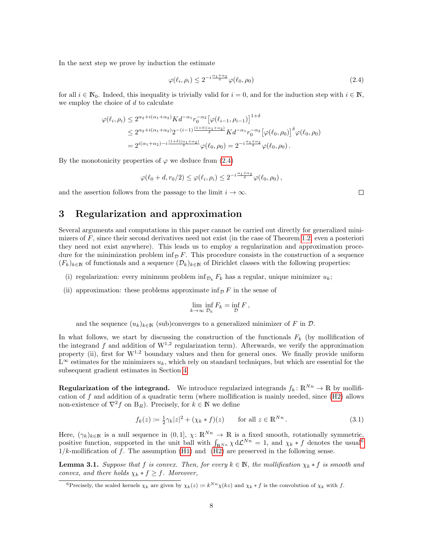In the next step we prove by induction the estimate

<span id="page-7-1"></span>
$$
\varphi(\ell_i, \rho_i) \le 2^{-i\frac{\alpha_1 + \alpha_2}{\delta}} \varphi(\ell_0, \rho_0) \tag{2.4}
$$

for all  $i \in \mathbb{N}_0$ . Indeed, this inequality is trivially valid for  $i = 0$ , and for the induction step with  $i \in \mathbb{N}$ , we employ the choice of  $d$  to calculate

$$
\varphi(\ell_i, \rho_i) \le 2^{\alpha_2 + i(\alpha_1 + \alpha_2)} K d^{-\alpha_1} r_0^{-\alpha_2} \left[ \varphi(\ell_{i-1}, \rho_{i-1}) \right]^{1+\delta}
$$
  

$$
\le 2^{\alpha_2 + i(\alpha_1 + \alpha_2)} 2^{-(i-1)\frac{(1+\delta)(\alpha_1 + \alpha_2)}{\delta}} K d^{-\alpha_1} r_0^{-\alpha_2} \left[ \varphi(\ell_0, \rho_0) \right]^{\delta} \varphi(\ell_0, \rho_0)
$$
  

$$
= 2^{i(\alpha_1 + \alpha_2) - i\frac{(1+\delta)(\alpha_1 + \alpha_2)}{\delta}} \varphi(\ell_0, \rho_0) = 2^{-i\frac{\alpha_1 + \alpha_2}{\delta}} \varphi(\ell_0, \rho_0).
$$

By the monotonicity properties of  $\varphi$  we deduce from [\(2.4\)](#page-7-1)

$$
\varphi(\ell_0+d,r_0/2) \leq \varphi(\ell_i,\rho_i) \leq 2^{-i\frac{\alpha_1+\alpha_2}{\delta}}\varphi(\ell_0,\rho_0),
$$

and the assertion follows from the passage to the limit  $i \to \infty$ .

# <span id="page-7-0"></span>3 Regularization and approximation

Several arguments and computations in this paper cannot be carried out directly for generalized minimizers of  $F$ , since their second derivatives need not exist (in the case of Theorem [1.2,](#page-2-1) even a posteriori they need not exist anywhere). This leads us to employ a regularization and approximation procedure for the minimization problem inf<sub>D</sub> F. This procedure consists in the construction of a sequence  $(F_k)_{k\in\mathbb{N}}$  of functionals and a sequence  $(\mathcal{D}_k)_{k\in\mathbb{N}}$  of Dirichlet classes with the following properties:

- (i) regularization: every minimum problem inf<sub>D<sub>k</sub> F<sub>k</sub> has a regular, unique minimizer  $u_k$ ;</sub>
- (ii) approximation: these problems approximate  $\inf_{\mathcal{D}} F$  in the sense of

$$
\lim_{k \to \infty} \inf_{\mathcal{D}_k} F_k = \inf_{\mathcal{D}} F,
$$

and the sequence  $(u_k)_{k\in\mathbb{N}}$  (sub)converges to a generalized minimizer of F in  $\mathcal{D}$ .

In what follows, we start by discussing the construction of the functionals  $F_k$  (by mollification of the integrand f and addition of  $W^{1,2}$  regularization term). Afterwards, we verify the approximation property (ii), first for  $W^{1,2}$  boundary values and then for general ones. We finally provide uniform  $L^{\infty}$  estimates for the minimizers  $u_k$ , which rely on standard techniques, but which are essential for the subsequent gradient estimates in Section [4.](#page-13-0)

**Regularization of the integrand.** We introduce regularized integrands  $f_k: \mathbb{R}^{N_n} \to \mathbb{R}$  by mollification of f and addition of a quadratic term (where mollification is mainly needed, since  $(H2)$  allows non-existence of  $\nabla^2 f$  on  $B_R$ ). Precisely, for  $k \in \mathbb{N}$  we define

<span id="page-7-4"></span>
$$
f_k(z) := \frac{1}{2}\gamma_k |z|^2 + (\chi_k * f)(z) \qquad \text{for all } z \in \mathbb{R}^{Nn}.
$$
 (3.1)

Here,  $(\gamma_k)_{k\in\mathbb{N}}$  is a null sequence in  $(0,1], \chi: \mathbb{R}^{Nn} \to \mathbb{R}$  is a fixed smooth, rotationally symmetric, positive function, supported in the unit ball with  $\int_{\mathbb{R}^{N_n}} \chi d\mathcal{L}^{N_n} = 1$ , and  $\chi_k * f$  denotes the usual<sup>[6](#page-7-2)</sup>  $1/k$ -mollification of f. The assumption [\(H1\)](#page-2-0) and [\(H2\)](#page-2-2) are preserved in the following sense.

<span id="page-7-3"></span>**Lemma 3.1.** Suppose that f is convex. Then, for every  $k \in \mathbb{N}$ , the mollification  $\chi_k * f$  is smooth and convex, and there holds  $\chi_k * f \geq f$ . Moreover,

 $\Box$ 

<span id="page-7-2"></span><sup>&</sup>lt;sup>6</sup>Precisely, the scaled kernels  $\chi_k$  are given by  $\chi_k(z) := k^{Nn} \chi(kz)$  and  $\chi_k * f$  is the convolution of  $\chi_k$  with f.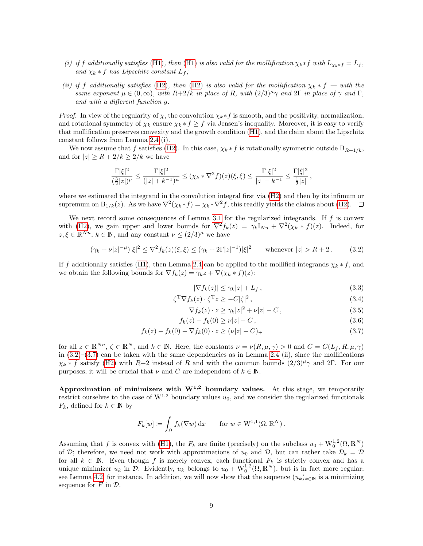- (i) if f additionally satisfies [\(H1\)](#page-2-0), then (H1) is also valid for the mollification  $\chi_k * f$  with  $L_{\chi_k * f} = L_f$ , and  $\chi_k * f$  has Lipschitz constant  $L_f$ ;
- (ii) if f additionally satisfies [\(H2\)](#page-2-2), then (H2) is also valid for the mollification  $\chi_k * f =$  with the same exponent  $\mu \in (0,\infty)$ , with  $R+2/k$  in place of R, with  $(2/3)^{\mu}\gamma$  and  $2\Gamma$  in place of  $\gamma$  and  $\Gamma$ , and with a different function g.

*Proof.* In view of the regularity of  $\chi$ , the convolution  $\chi_k * f$  is smooth, and the positivity, normalization, and rotational symmetry of  $\chi_k$  ensure  $\chi_k * f \geq f$  via Jensen's inequality. Moreover, it is easy to verify that mollification preserves convexity and the growth condition [\(H1\)](#page-2-0), and the claim about the Lipschitz constant follows from Lemma [2.4](#page-5-0) (i).

We now assume that f satisfies [\(H2\)](#page-2-2). In this case,  $\chi_k * f$  is rotationally symmetric outside  $B_{R+1/k}$ , and for  $|z| \geq R + 2/k \geq 2/k$  we have

$$
\frac{\Gamma|\xi|^2}{(\frac{3}{2}|z|)^{\mu}} \le \frac{\Gamma|\xi|^2}{(|z|+k^{-1})^{\mu}} \le (\chi_k \cdot \nabla^2 f)(z)(\xi,\xi) \le \frac{\Gamma|\xi|^2}{|z|-k^{-1}} \le \frac{\Gamma|\xi|^2}{\frac{1}{2}|z|},
$$

where we estimated the integrand in the convolution integral first via [\(H2\)](#page-2-2) and then by its infimum or supremum on  $B_{1/k}(z)$ . As we have  $\nabla^2(\chi_k * f) = \chi_k * \nabla^2 f$ , this readily yields the claims about [\(H2\)](#page-2-2).

We next record some consequences of Lemma [3.1](#page-7-3) for the regularized integrands. If  $f$  is convex with [\(H2\)](#page-2-2), we gain upper and lower bounds for  $\nabla^2 f_k(z) = \gamma_k I_{Nn} + \nabla^2 (\chi_k * f)(z)$ . Indeed, for  $z, \xi \in \mathbb{R}^{N_n}, k \in \mathbb{N}$ , and any constant  $\nu \leq (2/3)^{\mu}$  we have

<span id="page-8-0"></span>
$$
(\gamma_k + \nu |z|^{-\mu})|\xi|^2 \le \nabla^2 f_k(z)(\xi, \xi) \le (\gamma_k + 2\Gamma|z|^{-1})|\xi|^2 \quad \text{whenever } |z| > R + 2. \tag{3.2}
$$

If f additionally satisfies [\(H1\)](#page-2-0), then Lemma [2.4](#page-5-0) can be applied to the mollified integrands  $\chi_k * f$ , and we obtain the following bounds for  $\nabla f_k(z) = \gamma_k z + \nabla (\chi_k * f)(z)$ :

<span id="page-8-5"></span><span id="page-8-4"></span><span id="page-8-3"></span><span id="page-8-2"></span>
$$
|\nabla f_k(z)| \le \gamma_k |z| + L_f \,, \tag{3.3}
$$

$$
\zeta^{\mathrm{T}} \nabla f_k(z) \cdot \zeta^{\mathrm{T}} z \ge -C|\zeta|^2 \,,\tag{3.4}
$$

<span id="page-8-1"></span>
$$
\nabla f_k(z) \cdot z \ge \gamma_k |z|^2 + \nu |z| - C \,, \tag{3.5}
$$

$$
f_k(z) - f_k(0) \ge \nu |z| - C, \tag{3.6}
$$

$$
f_k(z) - f_k(0) - \nabla f_k(0) \cdot z \ge (\nu |z| - C)_+ \tag{3.7}
$$

for all  $z \in \mathbb{R}^{N_n}$ ,  $\zeta \in \mathbb{R}^N$ , and  $k \in \mathbb{N}$ . Here, the constants  $\nu = \nu(R, \mu, \gamma) > 0$  and  $C = C(L_f, R, \mu, \gamma)$ in  $(3.2)$ – $(3.7)$  can be taken with the same dependencies as in Lemma [2.4](#page-5-0) (ii), since the mollifications  $\chi_k * f$  satisfy [\(H2\)](#page-2-2) with R+2 instead of R and with the common bounds  $(2/3)^\mu \gamma$  and 2Γ. For our purposes, it will be crucial that  $\nu$  and C are independent of  $k \in \mathbb{N}$ .

Approximation of minimizers with  $W^{1,2}$  boundary values. At this stage, we temporarily restrict ourselves to the case of  $W^{1,2}$  boundary values  $u_0$ , and we consider the regularized functionals  $F_k$ , defined for  $k \in \mathbb{N}$  by

$$
F_k[w] \coloneqq \int_{\Omega} f_k(\nabla w) \, \mathrm{d}x \qquad \text{for } w \in \mathcal{W}^{1,1}(\Omega, \mathbb{R}^N) \, .
$$

Assuming that f is convex with [\(H1\)](#page-2-0), the  $F_k$  are finite (precisely) on the subclass  $u_0 + W_0^{1,2}(\Omega, \mathbb{R}^N)$ of D; therefore, we need not work with approximations of  $u_0$  and D, but can rather take  $D_k = D$ for all  $k \in \mathbb{N}$ . Even though f is merely convex, each functional  $F_k$  is strictly convex and has a unique minimizer  $u_k$  in  $\mathcal{D}$ . Evidently,  $u_k$  belongs to  $u_0 + \mathbf{W}_0^{1,2}(\Omega,\mathbb{R}^N)$ , but is in fact more regular; see Lemma [4.2,](#page-15-1) for instance. In addition, we will now show that the sequence  $(u_k)_{k\in\mathbb{N}}$  is a minimizing sequence for  $F$  in  $\mathcal{D}$ .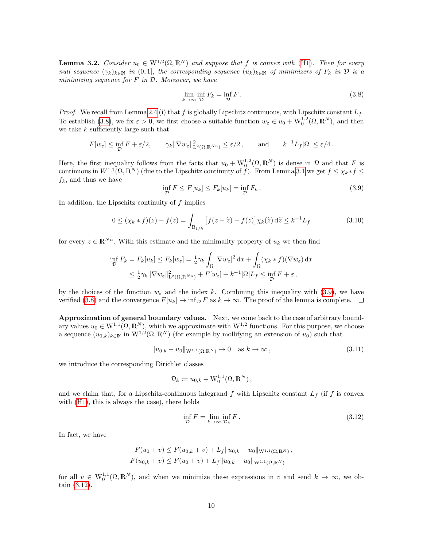**Lemma 3.2.** Consider  $u_0 \in W^{1,2}(\Omega,\mathbb{R}^N)$  and suppose that f is convex with [\(H1\)](#page-2-0). Then for every null sequence  $(\gamma_k)_{k\in\mathbb{N}}$  in  $(0,1]$ , the corresponding sequence  $(u_k)_{k\in\mathbb{N}}$  of minimizers of  $F_k$  in  $\mathcal D$  is a minimizing sequence for  $F$  in  $D$ . Moreover, we have

<span id="page-9-0"></span>
$$
\lim_{k \to \infty} \inf_{\mathcal{D}} F_k = \inf_{\mathcal{D}} F. \tag{3.8}
$$

*Proof.* We recall from Lemma [2.4](#page-5-0) (i) that f is globally Lipschitz continuous, with Lipschitz constant  $L_f$ . To establish [\(3.8\)](#page-9-0), we fix  $\varepsilon > 0$ , we first choose a suitable function  $w_{\varepsilon} \in u_0 + \mathrm{W}_0^{1,2}(\Omega,\mathbb{R}^N)$ , and then we take  $k$  sufficiently large such that

$$
F[w_{\varepsilon}] \le \inf_{\mathcal{D}} F + \varepsilon/2, \qquad \gamma_k \|\nabla w_{\varepsilon}\|_{\mathsf{L}^2(\Omega, \mathbb{R}^{Nn})}^2 \le \varepsilon/2, \qquad \text{and} \qquad k^{-1} L_f |\Omega| \le \varepsilon/4.
$$

Here, the first inequality follows from the facts that  $u_0 + W_0^{1,2}(\Omega,\mathbb{R}^N)$  is dense in  $\mathcal D$  and that F is continuous in  $W^{1,1}(\Omega,\mathbb{R}^N)$  (due to the Lipschitz continuity of f). From Lemma [3.1](#page-7-3) we get  $f \leq \chi_k * f \leq$  $f_k$ , and thus we have

<span id="page-9-1"></span>
$$
\inf_{\mathcal{D}} F \le F[u_k] \le F_k[u_k] = \inf_{\mathcal{D}} F_k. \tag{3.9}
$$

In addition, the Lipschitz continuity of  $f$  implies

<span id="page-9-4"></span>
$$
0 \le (\chi_k * f)(z) - f(z) = \int_{\mathcal{B}_{1/k}} \left[ f(z - \widetilde{z}) - f(z) \right] \chi_k(\widetilde{z}) \, d\widetilde{z} \le k^{-1} L_f \tag{3.10}
$$

for every  $z \in \mathbb{R}^{N_n}$ . With this estimate and the minimality property of  $u_k$  we then find

$$
\inf_{\mathcal{D}} F_k = F_k[u_k] \le F_k[w_\varepsilon] = \frac{1}{2}\gamma_k \int_{\Omega} |\nabla w_\varepsilon|^2 dx + \int_{\Omega} (\chi_k * f)(\nabla w_\varepsilon) dx
$$
  

$$
\le \frac{1}{2}\gamma_k \|\nabla w_\varepsilon\|_{\mathbf{L}^2(\Omega, \mathbb{R}^{Nn})}^2 + F[w_\varepsilon] + k^{-1} |\Omega| L_f \le \inf_{\mathcal{D}} F + \varepsilon,
$$

by the choices of the function  $w_{\varepsilon}$  and the index k. Combining this inequality with [\(3.9\)](#page-9-1), we have verified [\(3.8\)](#page-9-0) and the convergence  $F[u_k] \to \inf_{\mathcal{D}} F$  as  $k \to \infty$ . The proof of the lemma is complete.  $\Box$ 

Approximation of general boundary values. Next, we come back to the case of arbitrary boundary values  $u_0 \in W^{1,1}(\Omega,\mathbb{R}^N)$ , which we approximate with  $W^{1,2}$  functions. For this purpose, we choose a sequence  $(u_{0,k})_{k\in\mathbb{N}}$  in  $W^{1,2}(\Omega,\mathbb{R}^N)$  (for example by mollifying an extension of  $u_0$ ) such that

<span id="page-9-3"></span>
$$
||u_{0,k} - u_0||_{W^{1,1}(\Omega, \mathbb{R}^N)} \to 0 \quad \text{as } k \to \infty,
$$
\n(3.11)

we introduce the corresponding Dirichlet classes

$$
\mathcal{D}_k \coloneqq u_{0,k} + \mathbf{W}_0^{1,1}(\Omega,\mathbb{R}^N),
$$

and we claim that, for a Lipschitz-continuous integrand f with Lipschitz constant  $L_f$  (if f is convex with [\(H1\)](#page-2-0), this is always the case), there holds

<span id="page-9-2"></span>
$$
\inf_{\mathcal{D}} F = \lim_{k \to \infty} \inf_{\mathcal{D}_k} F. \tag{3.12}
$$

,

In fact, we have

$$
F(u_0 + v) \le F(u_{0,k} + v) + L_f ||u_{0,k} - u_0||_{W^{1,1}(\Omega, \mathbb{R}^N)}
$$
  

$$
F(u_{0,k} + v) \le F(u_0 + v) + L_f ||u_{0,k} - u_0||_{W^{1,1}(\Omega, \mathbb{R}^N)}
$$

for all  $v \in W_0^{1,1}(\Omega,\mathbb{R}^N)$ , and when we minimize these expressions in v and send  $k \to \infty$ , we obtain [\(3.12\)](#page-9-2).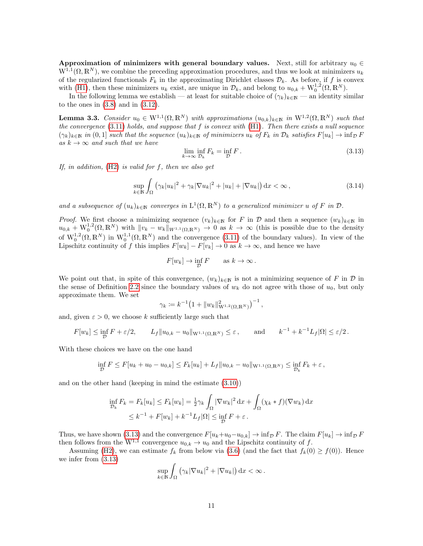Approximation of minimizers with general boundary values. Next, still for arbitrary  $u_0 \in$  $W^{1,1}(\Omega,\mathbb{R}^N)$ , we combine the preceding approximation procedures, and thus we look at minimizers  $u_k$ of the regularized functionals  $F_k$  in the approximating Dirichlet classes  $\mathcal{D}_k$ . As before, if f is convex with [\(H1\)](#page-2-0), then these minimizers  $u_k$  exist, are unique in  $\mathcal{D}_k$ , and belong to  $u_{0,k} + W_0^{1,2}(\Omega, \mathbb{R}^N)$ .

In the following lemma we establish — at least for suitable choice of  $(\gamma_k)_{k\in\mathbb{N}}$  — an identity similar to the ones in  $(3.8)$  and in  $(3.12)$ .

<span id="page-10-2"></span>**Lemma 3.3.** Consider  $u_0 \in W^{1,1}(\Omega,\mathbb{R}^N)$  with approximations  $(u_{0,k})_{k\in\mathbb{N}}$  in  $W^{1,2}(\Omega,\mathbb{R}^N)$  such that the convergence  $(3.11)$  holds, and suppose that f is convex with  $(H1)$ . Then there exists a null sequence  $(\gamma_k)_{k\in\mathbb{N}}$  in  $(0,1]$  such that the sequence  $(u_k)_{k\in\mathbb{N}}$  of minimizers  $u_k$  of  $F_k$  in  $\mathcal{D}_k$  satisfies  $F[u_k] \to \inf_{\mathcal{D}} F$ as  $k \to \infty$  and such that we have

<span id="page-10-0"></span>
$$
\lim_{k \to \infty} \inf_{\mathcal{D}_k} F_k = \inf_{\mathcal{D}} F. \tag{3.13}
$$

If, in addition,  $(H2)$  is valid for f, then we also get

<span id="page-10-1"></span>
$$
\sup_{k \in \mathbb{N}} \int_{\Omega} \left( \gamma_k |u_k|^2 + \gamma_k |\nabla u_k|^2 + |u_k| + |\nabla u_k| \right) dx < \infty \,, \tag{3.14}
$$

and a subsequence of  $(u_k)_{k\in\mathbb{N}}$  converges in  $L^1(\Omega,\mathbb{R}^N)$  to a generalized minimizer u of F in  $\mathcal{D}$ .

*Proof.* We first choose a minimizing sequence  $(v_k)_{k\in\mathbb{N}}$  for F in D and then a sequence  $(w_k)_{k\in\mathbb{N}}$  in  $u_{0,k} + W_0^{1,2}(\Omega,\mathbb{R}^N)$  with  $||v_k - w_k||_{W^{1,1}(\Omega,\mathbb{R}^N)} \to 0$  as  $k \to \infty$  (this is possible due to the density of  $W_0^{1,2}(\Omega,\mathbb{R}^N)$  in  $W_0^{1,1}(\Omega,\mathbb{R}^N)$  and the convergence [\(3.11\)](#page-9-3) of the boundary values). In view of the Lipschitz continuity of f this implies  $F[w_k] - F[v_k] \to 0$  as  $k \to \infty$ , and hence we have

$$
F[w_k] \to \inf_{\mathcal{D}} F \qquad \text{as } k \to \infty \, .
$$

We point out that, in spite of this convergence,  $(w_k)_{k\in\mathbb{N}}$  is not a minimizing sequence of F in D in the sense of Definition [2.2](#page-5-1) since the boundary values of  $w_k$  do not agree with those of  $u_0$ , but only approximate them. We set

$$
\gamma_k := k^{-1} \big( 1 + \|w_k\|_{\mathcal{W}^{1,2}(\Omega,\mathbb{R}^N)}^2 \big)^{-1} \,,
$$

and, given  $\varepsilon > 0$ , we choose k sufficiently large such that

$$
F[w_k] \le \inf_{\mathcal{D}} F + \varepsilon/2, \qquad L_f \|u_{0,k} - u_0\|_{\mathcal{W}^{1,1}(\Omega, \mathbb{R}^N)} \le \varepsilon, \qquad \text{and} \qquad k^{-1} + k^{-1} L_f |\Omega| \le \varepsilon/2.
$$

With these choices we have on the one hand

$$
\inf_{\mathcal{D}} F \le F[u_k + u_0 - u_{0,k}] \le F_k[u_k] + L_f ||u_{0,k} - u_0||_{W^{1,1}(\Omega, \mathbb{R}^N)} \le \inf_{\mathcal{D}_k} F_k + \varepsilon,
$$

and on the other hand (keeping in mind the estimate [\(3.10\)](#page-9-4))

$$
\inf_{\mathcal{D}_k} F_k = F_k[u_k] \le F_k[w_k] = \frac{1}{2}\gamma_k \int_{\Omega} |\nabla w_k|^2 \,dx + \int_{\Omega} (\chi_k * f)(\nabla w_k) \,dx
$$
  

$$
\le k^{-1} + F[w_k] + k^{-1} L_f|\Omega| \le \inf_{\mathcal{D}} F + \varepsilon.
$$

Thus, we have shown [\(3.13\)](#page-10-0) and the convergence  $F[u_k+u_0-u_{0,k}] \to \inf_{\mathcal{D}} F$ . The claim  $F[u_k] \to \inf_{\mathcal{D}} F$ then follows from the W<sup>1,1</sup> convergence  $u_{0,k} \to u_0$  and the Lipschitz continuity of f.

Assuming [\(H2\)](#page-2-2), we can estimate  $f_k$  from below via [\(3.6\)](#page-8-2) (and the fact that  $f_k(0) \ge f(0)$ ). Hence we infer from [\(3.13\)](#page-10-0)

$$
\sup_{k\in\mathbb{N}}\int_{\Omega} \left(\gamma_k|\nabla u_k|^2+|\nabla u_k|\right)\mathrm{d} x < \infty.
$$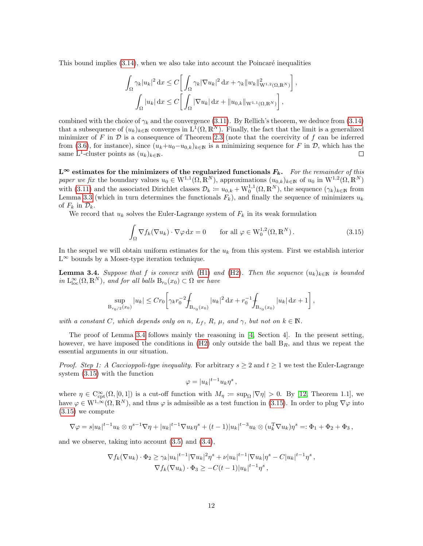This bound implies  $(3.14)$ , when we also take into account the Poincaré inequalities

$$
\int_{\Omega} \gamma_k |u_k|^2 \, \mathrm{d}x \le C \bigg[ \int_{\Omega} \gamma_k |\nabla u_k|^2 \, \mathrm{d}x + \gamma_k ||w_k||_{\mathcal{W}^{1,2}(\Omega, \mathbb{R}^N)}^2 \bigg],
$$

$$
\int_{\Omega} |u_k| \, \mathrm{d}x \le C \bigg[ \int_{\Omega} |\nabla u_k| \, \mathrm{d}x + ||u_{0,k}||_{\mathcal{W}^{1,1}(\Omega, \mathbb{R}^N)} \bigg],
$$

combined with the choice of  $\gamma_k$  and the convergence [\(3.11\)](#page-9-3). By Rellich's theorem, we deduce from [\(3.14\)](#page-10-1) that a subsequence of  $(u_k)_{k\in\mathbb{N}}$  converges in  $L^1(\Omega,\mathbb{R}^N)$ . Finally, the fact that the limit is a generalized minimizer of F in  $\mathcal D$  is a consequence of Theorem [2.3](#page-5-2) (note that the coercivity of f can be inferred from [\(3.6\)](#page-8-2), for instance), since  $(u_k+u_0-u_{0,k})_{k\in\mathbb{N}}$  is a minimizing sequence for F in D, which has the same L<sup>1</sup>-cluster points as  $(u_k)_{k\in\mathbb{N}}$ .  $\Box$ 

 $L^{\infty}$  estimates for the minimizers of the regularized functionals  $F_k$ . For the remainder of this paper we fix the boundary values  $u_0 \in W^{1,1}(\Omega, \mathbb{R}^N)$ , approximations  $(u_{0,k})_{k \in \mathbb{N}}$  of  $u_0$  in  $W^{1,2}(\Omega, \mathbb{R}^N)$ with [\(3.11\)](#page-9-3) and the associated Dirichlet classes  $\mathcal{D}_k := u_{0,k} + \mathbf{W}_0^{1,1}(\Omega,\mathbb{R}^N)$ , the sequence  $(\gamma_k)_{k\in\mathbb{N}}$  from Lemma [3.3](#page-10-2) (which in turn determines the functionals  $F_k$ ), and finally the sequence of minimizers  $u_k$ of  $F_k$  in  $\mathcal{D}_k$ .

We record that  $u_k$  solves the Euler-Lagrange system of  $F_k$  in its weak formulation

<span id="page-11-1"></span>
$$
\int_{\Omega} \nabla f_k(\nabla u_k) \cdot \nabla \varphi \, dx = 0 \qquad \text{for all } \varphi \in W_0^{1,2}(\Omega, \mathbb{R}^N). \tag{3.15}
$$

In the sequel we will obtain uniform estimates for the  $u_k$  from this system. First we establish interior  $L^{\infty}$  bounds by a Moser-type iteration technique.

<span id="page-11-0"></span>**Lemma 3.4.** Suppose that f is convex with [\(H1\)](#page-2-0) and [\(H2\)](#page-2-2). Then the sequence  $(u_k)_{k\in\mathbb{N}}$  is bounded in  $L_{loc}^{\infty}(\Omega,\mathbb{R}^N)$ , and for all balls  $B_{r_0}(x_0) \subset \Omega$  we have

$$
\sup_{B_{r_0/2}(x_0)} |u_k| \le Cr_0 \left[ \gamma_k r_0^{-2} \int_{B_{r_0}(x_0)} |u_k|^2 \, \mathrm{d}x + r_0^{-1} \int_{B_{r_0}(x_0)} |u_k| \, \mathrm{d}x + 1 \right],
$$

with a constant C, which depends only on n,  $L_f$ , R,  $\mu$ , and  $\gamma$ , but not on  $k \in \mathbb{N}$ .

The proof of Lemma [3.4](#page-11-0) follows mainly the reasoning in [\[4,](#page-25-2) Section 4]. In the present setting, however, we have imposed the conditions in  $(H2)$  only outside the ball  $B_R$ , and thus we repeat the essential arguments in our situation.

*Proof.* Step 1: A Caccioppoli-type inequality. For arbitrary  $s \geq 2$  and  $t \geq 1$  we test the Euler-Lagrange system [\(3.15\)](#page-11-1) with the function

$$
\varphi = |u_k|^{t-1} u_k \eta^s ,
$$

where  $\eta \in C^{\infty}_{\mathrm{cpt}}(\Omega,[0,1])$  is a cut-off function with  $M_{\eta} := \sup_{\Omega} |\nabla \eta| > 0$ . By [\[12,](#page-26-9) Theorem 1.1], we have  $\varphi \in W^{1,\infty}(\Omega,\mathbb{R}^N)$ , and thus  $\varphi$  is admissible as a test function in [\(3.15\)](#page-11-1). In order to plug  $\nabla \varphi$  into [\(3.15\)](#page-11-1) we compute

$$
\nabla \varphi = s|u_k|^{t-1} u_k \otimes \eta^{s-1} \nabla \eta + |u_k|^{t-1} \nabla u_k \eta^s + (t-1)|u_k|^{t-3} u_k \otimes (u_k^T \nabla u_k) \eta^s =: \Phi_1 + \Phi_2 + \Phi_3,
$$

and we observe, taking into account [\(3.5\)](#page-8-3) and [\(3.4\)](#page-8-4),

$$
\nabla f_k(\nabla u_k) \cdot \Phi_2 \geq \gamma_k |u_k|^{t-1} |\nabla u_k|^2 \eta^s + \nu |u_k|^{t-1} |\nabla u_k| \eta^s - C |u_k|^{t-1} \eta^s,
$$
  

$$
\nabla f_k(\nabla u_k) \cdot \Phi_3 \geq -C(t-1) |u_k|^{t-1} \eta^s,
$$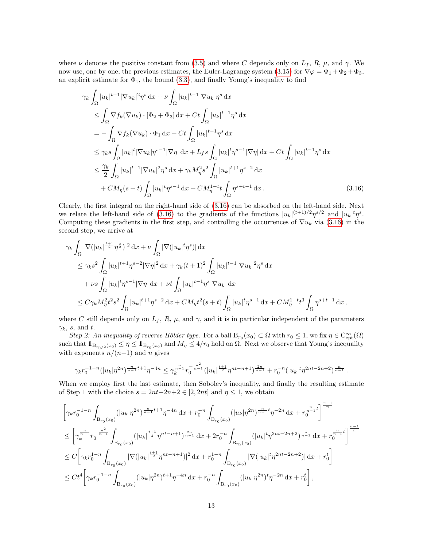where  $\nu$  denotes the positive constant from [\(3.5\)](#page-8-3) and where C depends only on  $L_f$ , R,  $\mu$ , and  $\gamma$ . We now use, one by one, the previous estimates, the Euler-Lagrange system [\(3.15\)](#page-11-1) for  $\nabla \varphi = \Phi_1 + \Phi_2 + \Phi_3$ , an explicit estimate for  $\Phi_1$ , the bound  $(3.3)$ , and finally Young's inequality to find

<span id="page-12-0"></span>
$$
\gamma_{k} \int_{\Omega} |u_{k}|^{t-1} |\nabla u_{k}|^{2} \eta^{s} dx + \nu \int_{\Omega} |u_{k}|^{t-1} |\nabla u_{k}| \eta^{s} dx
$$
  
\n
$$
\leq \int_{\Omega} \nabla f_{k} (\nabla u_{k}) \cdot [\Phi_{2} + \Phi_{3}] dx + Ct \int_{\Omega} |u_{k}|^{t-1} \eta^{s} dx
$$
  
\n
$$
= - \int_{\Omega} \nabla f_{k} (\nabla u_{k}) \cdot \Phi_{1} dx + Ct \int_{\Omega} |u_{k}|^{t-1} \eta^{s} dx
$$
  
\n
$$
\leq \gamma_{k} s \int_{\Omega} |u_{k}|^{t} |\nabla u_{k}| \eta^{s-1} |\nabla \eta| dx + L_{f} s \int_{\Omega} |u_{k}|^{t} \eta^{s-1} |\nabla \eta| dx + Ct \int_{\Omega} |u_{k}|^{t-1} \eta^{s} dx
$$
  
\n
$$
\leq \frac{\gamma_{k}}{2} \int_{\Omega} |u_{k}|^{t-1} |\nabla u_{k}|^{2} \eta^{s} dx + \gamma_{k} M_{\eta}^{2} s^{2} \int_{\Omega} |u_{k}|^{t+1} \eta^{s-2} dx
$$
  
\n
$$
+ CM_{\eta}(s+t) \int_{\Omega} |u_{k}|^{t} \eta^{s-1} dx + CM_{\eta}^{1-t} t \int_{\Omega} \eta^{s+t-1} dx.
$$
 (3.16)

Clearly, the first integral on the right-hand side of [\(3.16\)](#page-12-0) can be absorbed on the left-hand side. Next we relate the left-hand side of [\(3.16\)](#page-12-0) to the gradients of the functions  $|u_k|^{(t+1)/2} \eta^{s/2}$  and  $|u_k|^t \eta^s$ . Computing these gradients in the first step, and controlling the occurrences of  $\nabla u_k$  via [\(3.16\)](#page-12-0) in the second step, we arrive at

$$
\begin{split}\n&\gamma_k \int_{\Omega} |\nabla (|u_k|^{\frac{t+1}{2}} \eta^{\frac{s}{2}})|^2 \, \mathrm{d}x + \nu \int_{\Omega} |\nabla (|u_k|^t \eta^s)| \, \mathrm{d}x \\
&\leq \gamma_k s^2 \int_{\Omega} |u_k|^{t+1} \eta^{s-2} |\nabla \eta|^2 \, \mathrm{d}x + \gamma_k (t+1)^2 \int_{\Omega} |u_k|^{t-1} |\nabla u_k|^2 \eta^s \, \mathrm{d}x \\
&+ \nu s \int_{\Omega} |u_k|^t \eta^{s-1} |\nabla \eta| \, \mathrm{d}x + \nu t \int_{\Omega} |u_k|^{t-1} \eta^s |\nabla u_k| \, \mathrm{d}x \\
&\leq C \gamma_k M_\eta^2 t^2 s^2 \int_{\Omega} |u_k|^{t+1} \eta^{s-2} \, \mathrm{d}x + C M_\eta t^2 (s+t) \int_{\Omega} |u_k|^t \eta^{s-1} \, \mathrm{d}x + C M_\eta^{1-t} t^3 \int_{\Omega} \eta^{s+t-1} \, \mathrm{d}x \,,\n\end{split}
$$

where C still depends only on  $L_f$ , R,  $\mu$ , and  $\gamma$ , and it is in particular independent of the parameters  $\gamma_k$ , s, and t.

Step 2: An inequality of reverse Hölder type. For a ball  $B_{r_0}(x_0) \subset \Omega$  with  $r_0 \leq 1$ , we fix  $\eta \in C^{\infty}_{\text{cpt}}(\Omega)$ such that  $1_{B_{r_0/2}(x_0)} \leq \eta \leq 1_{B_{r_0}(x_0)}$  and  $M_\eta \leq 4/r_0$  hold on  $\Omega$ . Next we observe that Young's inequality with exponents  $n/(n-1)$  and n gives

$$
\gamma_k r_0^{-1-n} (|u_k|\eta^{2n})^{\frac{n}{n-1}t+1}\eta^{-4n} \leq \gamma_k^{\frac{n}{n-1}} r_0^{-\frac{n^2}{n-1}} (|u_k|^{\frac{t+1}{2}} \eta^{nt-n+1})^{\frac{2n}{n-1}} + r_0^{-n} (|u_k|^t \eta^{2nt-2n+2})^{\frac{n}{n-1}}.
$$

When we employ first the last estimate, then Sobolev's inequality, and finally the resulting estimate of Step 1 with the choice  $s = 2nt-2n+2 \in [2, 2nt]$  and  $\eta \leq 1$ , we obtain

$$
\begin{split}\label{eq:4.16} &\left[\gamma_{k}r_{0}^{-1-n}\int_{\text{B}_{r_{0}}(x_{0})}\left(|u_{k}|\eta^{2n}\right)^{\frac{n}{n-1}t+1}\eta^{-4n}\,\mathrm{d}x+r_{0}^{-n}\int_{\text{B}_{r_{0}}(x_{0})}\left(|u_{k}|\eta^{2n}\right)^{\frac{n}{n-1}t}\eta^{-2n}\,\mathrm{d}x+r_{0}^{\frac{n}{n-1}t}\right]^{\frac{n-1}{n}}\\ &\leq \left[\gamma_{k}^{\frac{n}{n-1}}r_{0}^{-\frac{n^{2}}{n-1}}\int_{\text{B}_{r_{0}}(x_{0})}\left(|u_{k}|^{\frac{t+1}{2}}\eta^{nt-n+1}\right)^{\frac{2n}{n-1}}\,\mathrm{d}x+2r_{0}^{-n}\int_{\text{B}_{r_{0}}(x_{0})}\left(|u_{k}|^{t}\eta^{2nt-2n+2}\right)^{\frac{n}{n-1}}\,\mathrm{d}x+r_{0}^{\frac{n-1}{n-1}t}\right]^{\frac{n-1}{n}}\\ &\leq C\left[\gamma_{k}r_{0}^{1-n}\int_{\text{B}_{r_{0}}(x_{0})}\left|\nabla(|u_{k}|^{\frac{t+1}{2}}\eta^{nt-n+1})\right|^{2}\,\mathrm{d}x+r_{0}^{1-n}\int_{\text{B}_{r_{0}}(x_{0})}\left|\nabla(|u_{k}|^{t}\eta^{2nt-2n+2})\right|\,\mathrm{d}x+r_{0}^{t}\right]\\ &\leq C t^{4}\left[\gamma_{k}r_{0}^{-1-n}\int_{\text{B}_{r_{0}}(x_{0})}\left(|u_{k}|\eta^{2n}\right)^{t+1}\eta^{-4n}\,\mathrm{d}x+r_{0}^{-n}\int_{\text{B}_{r_{0}}(x_{0})}\left(|u_{k}|\eta^{2n}\right)^{t}\eta^{-2n}\,\mathrm{d}x+r_{0}^{t}\right], \end{split}
$$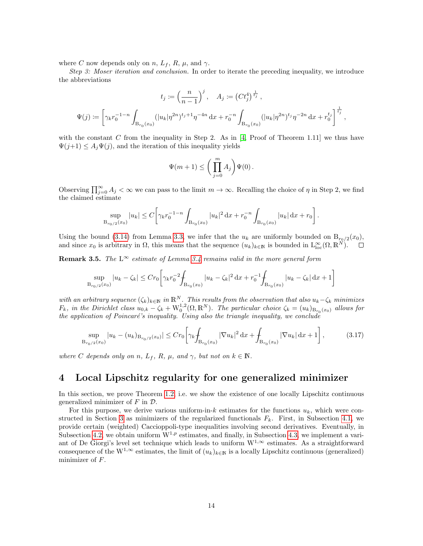where C now depends only on n,  $L_f$ , R,  $\mu$ , and  $\gamma$ .

Step 3: Moser iteration and conclusion. In order to iterate the preceding inequality, we introduce the abbreviations

$$
t_j := \left(\frac{n}{n-1}\right)^j, \quad A_j := \left(Ct_j^4\right)^{\frac{1}{t_j}},
$$
  

$$
\Psi(j) := \left[\gamma_k r_0^{-1-n} \int_{B_{r_0}(x_0)} (|u_k|\eta^{2n})^{t_j+1}\eta^{-4n} dx + r_0^{-n} \int_{B_{r_0}(x_0)} (|u_k|\eta^{2n})^{t_j}\eta^{-2n} dx + r_0^{t_j}\right]^{\frac{1}{t_j}},
$$

with the constant C from the inequality in Step 2. As in  $[4, \text{Proof of Theorem } 1.11]$  we thus have  $\Psi(j+1) \leq A_j \Psi(j)$ , and the iteration of this inequality yields

$$
\Psi(m+1) \le \bigg(\prod_{j=0}^m A_j\bigg)\Psi(0)\,.
$$

Observing  $\prod_{j=0}^{\infty} A_j < \infty$  we can pass to the limit  $m \to \infty$ . Recalling the choice of  $\eta$  in Step 2, we find the claimed estimate

$$
\sup_{\mathrm{B}_{r_0/2}(x_0)}|u_k| \le C\bigg[\gamma_k r_0^{-1-n}\int_{\mathrm{B}_{r_0}(x_0)}|u_k|^2\,\mathrm{d} x+r_0^{-n}\int_{\mathrm{B}_{r_0}(x_0)}|u_k|\,\mathrm{d} x+r_0\bigg]\,.
$$

Using the bound [\(3.14\)](#page-10-1) from Lemma [3.3,](#page-10-2) we infer that the  $u_k$  are uniformly bounded on  $B_{r_0/2}(x_0)$ , and since  $x_0$  is arbitrary in  $\Omega$ , this means that the sequence  $(u_k)_{k\in\mathbb{N}}$  is bounded in  $L^{\infty}_{loc}(\Omega,\mathbb{R}^{N})$ .

**Remark 3.5.** The  $L^{\infty}$  estimate of Lemma [3.4](#page-11-0) remains valid in the more general form

$$
\sup_{B_{r_0/2}(x_0)} |u_k - \zeta_k| \le Cr_0 \left[ \gamma_k r_0^{-2} \int_{B_{r_0}(x_0)} |u_k - \zeta_k|^2 \, \mathrm{d}x + r_0^{-1} \int_{B_{r_0}(x_0)} |u_k - \zeta_k| \, \mathrm{d}x + 1 \right]
$$

with an arbitrary sequence  $(\zeta_k)_{k\in\mathbb{N}}$  in  $\mathbb{R}^N$ . This results from the observation that also  $u_k-\zeta_k$  minimizes  $F_k$ , in the Dirichlet class  $u_{0,k} - \zeta_k + W_0^{1,2}(\Omega,\mathbb{R}^N)$ . The particular choice  $\zeta_k = (u_k)_{B_{r_0}(x_0)}$  allows for the application of Poincaré's inequality. Using also the triangle inequality, we conclude

<span id="page-13-1"></span>
$$
\sup_{B_{r_0/2}(x_0)} |u_k - (u_k)_{B_{r_0/2}(x_0)}| \le Cr_0 \left[ \gamma_k \int_{B_{r_0}(x_0)} |\nabla u_k|^2 \, \mathrm{d}x + \int_{B_{r_0}(x_0)} |\nabla u_k| \, \mathrm{d}x + 1 \right],\tag{3.17}
$$

where C depends only on n,  $L_f$ , R,  $\mu$ , and  $\gamma$ , but not on  $k \in \mathbb{N}$ .

### <span id="page-13-0"></span>4 Local Lipschitz regularity for one generalized minimizer

In this section, we prove Theorem [1.2,](#page-2-1) i.e. we show the existence of one locally Lipschitz continuous generalized minimizer of  $F$  in  $\mathcal{D}$ .

For this purpose, we derive various uniform-in-k estimates for the functions  $u_k$ , which were con-structed in Section [3](#page-7-0) as minimizers of the regularized functionals  $F_k$ . First, in Subsection [4.1,](#page-14-0) we provide certain (weighted) Caccioppoli-type inequalities involving second derivatives. Eventually, in Subsection [4.2,](#page-15-0) we obtain uniform  $W^{1,p}$  estimates, and finally, in Subsection [4.3,](#page-18-0) we implement a variant of De Giorgi's level set technique which leads to uniform  $W^{1,\infty}$  estimates. As a straightforward consequence of the W<sup>1,∞</sup> estimates, the limit of  $(u_k)_{k \in \mathbb{N}}$  is a locally Lipschitz continuous (generalized) minimizer of F.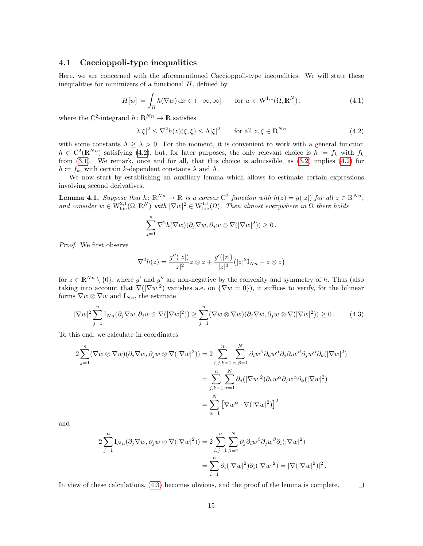#### <span id="page-14-0"></span>4.1 Caccioppoli-type inequalities

Here, we are concerned with the aforementioned Caccioppoli-type inequalities. We will state these inequalities for minimizers of a functional  $H$ , defined by

<span id="page-14-3"></span>
$$
H[w] := \int_{\Omega} h(\nabla w) dx \in (-\infty, \infty] \quad \text{for } w \in W^{1,1}(\Omega, \mathbb{R}^N), \tag{4.1}
$$

where the C<sup>2</sup>-integrand  $h: \mathbb{R}^{Nn} \to \mathbb{R}$  satisfies

<span id="page-14-1"></span>
$$
\lambda |\xi|^2 \le \nabla^2 h(z)(\xi, \xi) \le \Lambda |\xi|^2 \qquad \text{for all } z, \xi \in \mathbb{R}^{Nn}
$$
 (4.2)

with some constants  $\Lambda \geq \lambda > 0$ . For the moment, it is convenient to work with a general function  $h \in C^2(\mathbb{R}^{Nn})$  satisfying [\(4.2\)](#page-14-1), but, for later purposes, the only relevant choice is  $h := f_k$  with  $f_k$ from [\(3.1\)](#page-7-4). We remark, once and for all, that this choice is admissible, as [\(3.2\)](#page-8-0) implies [\(4.2\)](#page-14-1) for  $h = f_k$ , with certain k-dependent constants  $\lambda$  and  $\Lambda$ .

We now start by establishing an auxiliary lemma which allows to estimate certain expressions involving second derivatives.

<span id="page-14-4"></span>**Lemma 4.1.** Suppose that  $h: \mathbb{R}^{N_n} \to \mathbb{R}$  is a convex  $C^2$  function with  $h(z) = g(|z|)$  for all  $z \in \mathbb{R}^{N_n}$ , and consider  $w \in W^{2,1}_{loc}(\Omega,\mathbb{R}^N)$  with  $|\nabla w|^2 \in W^{1,1}_{loc}(\Omega)$ . Then almost everywhere in  $\Omega$  there holds

$$
\sum_{j=1}^n \nabla^2 h(\nabla w)(\partial_j \nabla w, \partial_j w \otimes \nabla(|\nabla w|^2)) \geq 0.
$$

Proof. We first observe

$$
\nabla^2 h(z) = \frac{g''(|z|)}{|z|^2} z \otimes z + \frac{g'(|z|)}{|z|^3} (|z|^2 \mathbf{I}_{Nn} - z \otimes z)
$$

for  $z \in \mathbb{R}^{N_n} \setminus \{0\}$ , where g' and g'' are non-negative by the convexity and symmetry of h. Thus (also taking into account that  $\nabla(|\nabla w|^2)$  vanishes a.e. on  ${\nabla w = 0}$ , it suffices to verify, for the bilinear forms  $\nabla w \otimes \nabla w$  and  $I_{Nn}$ , the estimate

<span id="page-14-2"></span>
$$
|\nabla w|^2 \sum_{j=1}^n I_{Nn}(\partial_j \nabla w, \partial_j w \otimes \nabla (|\nabla w|^2)) \geq \sum_{j=1}^n (\nabla w \otimes \nabla w)(\partial_j \nabla w, \partial_j w \otimes \nabla (|\nabla w|^2)) \geq 0. \tag{4.3}
$$

To this end, we calculate in coordinates

$$
2\sum_{j=1}^{n} (\nabla w \otimes \nabla w)(\partial_{j} \nabla w, \partial_{j} w \otimes \nabla(|\nabla w|^{2})) = 2\sum_{i,j,k=1}^{n} \sum_{\alpha,\beta=1}^{N} \partial_{i}w^{\beta} \partial_{k}w^{\alpha} \partial_{j} \partial_{i}w^{\beta} \partial_{j}w^{\alpha} \partial_{k}(|\nabla w|^{2})
$$

$$
= \sum_{j,k=1}^{n} \sum_{\alpha=1}^{N} \partial_{j}(|\nabla w|^{2}) \partial_{k}w^{\alpha} \partial_{j}w^{\alpha} \partial_{k}(|\nabla w|^{2})
$$

$$
= \sum_{\alpha=1}^{N} [\nabla w^{\alpha} \cdot \nabla(|\nabla w|^{2})]^{2}
$$

and

$$
2\sum_{j=1}^{n} \mathcal{I}_{Nn}(\partial_j \nabla w, \partial_j w \otimes \nabla(|\nabla w|^2)) = 2\sum_{i,j=1}^{n} \sum_{\beta=1}^{N} \partial_j \partial_i w^{\beta} \partial_j w^{\beta} \partial_i (|\nabla w|^2)
$$

$$
= \sum_{i=1}^{n} \partial_i (|\nabla w|^2) \partial_i (|\nabla w|^2) = |\nabla(|\nabla w|^2)|^2
$$

In view of these calculations, [\(4.3\)](#page-14-2) becomes obvious, and the proof of the lemma is complete.

.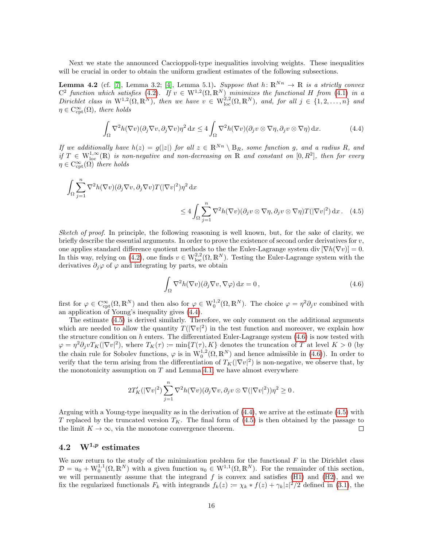Next we state the announced Caccioppoli-type inequalities involving weights. These inequalities will be crucial in order to obtain the uniform gradient estimates of the following subsections.

<span id="page-15-1"></span>**Lemma 4.2** (cf. [\[7\]](#page-25-1), Lemma 3.2; [\[4\]](#page-25-2), Lemma 5.1). Suppose that  $h: \mathbb{R}^{Nn} \to \mathbb{R}$  is a strictly convex  $C^2$  function which satisfies [\(4.2\)](#page-14-1). If  $v \in W^{1,2}(\Omega, \mathbb{R}^N)$  minimizes the functional H from [\(4.1\)](#page-14-3) in a Dirichlet class in  $W^{1,2}(\Omega,\mathbb{R}^N)$ , then we have  $v \in W^{2,2}_{loc}(\Omega,\mathbb{R}^N)$ , and, for all  $j \in \{1,2,\ldots,n\}$  and  $\eta \in C_{\mathrm{cpt}}^{\infty}(\Omega)$ , there holds

<span id="page-15-2"></span>
$$
\int_{\Omega} \nabla^2 h(\nabla v)(\partial_j \nabla v, \partial_j \nabla v)\eta^2 dx \le 4 \int_{\Omega} \nabla^2 h(\nabla v)(\partial_j v \otimes \nabla \eta, \partial_j v \otimes \nabla \eta) dx.
$$
 (4.4)

If we additionally have  $h(z) = g(|z|)$  for all  $z \in \mathbb{R}^{N_n} \setminus B_R$ , some function g, and a radius R, and if  $T \in W^{1,\infty}_{loc}(\mathbb{R})$  is non-negative and non-decreasing on  $\mathbb{R}$  and constant on  $[0,R^2]$ , then for every  $\eta \in C^{\infty}_{\mathrm{cpt}}(\Omega)$  there holds

$$
\int_{\Omega} \sum_{j=1}^{n} \nabla^{2} h(\nabla v)(\partial_{j} \nabla v, \partial_{j} \nabla v) T(|\nabla v|^{2}) \eta^{2} dx
$$
  
\n
$$
\leq 4 \int_{\Omega} \sum_{j=1}^{n} \nabla^{2} h(\nabla v)(\partial_{j} v \otimes \nabla \eta, \partial_{j} v \otimes \nabla \eta) T(|\nabla v|^{2}) dx.
$$
 (4.5)

Sketch of proof. In principle, the following reasoning is well known, but, for the sake of clarity, we briefly describe the essential arguments. In order to prove the existence of second order derivatives for  $v$ , one applies standard difference quotient methods to the the Euler-Lagrange system div  $[\nabla h(\nabla v)] = 0$ . In this way, relying on [\(4.2\)](#page-14-1), one finds  $v \in W^{2,2}_{loc}(\Omega,\mathbb{R}^N)$ . Testing the Euler-Lagrange system with the derivatives  $\partial_i \varphi$  of  $\varphi$  and integrating by parts, we obtain

<span id="page-15-4"></span><span id="page-15-3"></span>
$$
\int_{\Omega} \nabla^2 h(\nabla v)(\partial_j \nabla v, \nabla \varphi) dx = 0,
$$
\n(4.6)

first for  $\varphi \in C^{\infty}_{\mathrm{cpt}}(\Omega,\mathbb{R}^N)$  and then also for  $\varphi \in W_0^{1,2}(\Omega,\mathbb{R}^N)$ . The choice  $\varphi = \eta^2 \partial_j v$  combined with an application of Young's inequality gives [\(4.4\)](#page-15-2).

The estimate [\(4.5\)](#page-15-3) is derived similarly. Therefore, we only comment on the additional arguments which are needed to allow the quantity  $T(|\nabla v|^2)$  in the test function and moreover, we explain how the structure condition on h enters. The differentiated Euler-Lagrange system  $(4.6)$  is now tested with  $\varphi = \eta^2 \partial_j v T_K(|\nabla v|^2)$ , where  $T_K(\tau) \coloneqq \min\{T(\tau), K\}$  denotes the truncation of T at level  $K > 0$  (by the chain rule for Sobolev functions,  $\varphi$  is in  $W_0^{1,2}(\Omega, \mathbb{R}^N)$  and hence admissible in [\(4.6\)](#page-15-4)). In order to verify that the term arising from the differentiation of  $T_K(|\nabla v|^2)$  is non-negative, we observe that, by the monotonicity assumption on  $T$  and Lemma [4.1,](#page-14-4) we have almost everywhere

$$
2T'_{K}(|\nabla v|^{2})\sum_{j=1}^{n}\nabla^{2}h(\nabla v)(\partial_{j}\nabla v,\partial_{j}v\otimes\nabla(|\nabla v|^{2}))\eta^{2}\geq 0.
$$

Arguing with a Young-type inequality as in the derivation of [\(4.4\)](#page-15-2), we arrive at the estimate [\(4.5\)](#page-15-3) with T replaced by the truncated version  $T_K$ . The final form of [\(4.5\)](#page-15-3) is then obtained by the passage to the limit  $K \to \infty$ , via the monotone convergence theorem.  $\Box$ 

## <span id="page-15-0"></span>4.2  $W^{1,p}$  estimates

We now return to the study of the minimization problem for the functional  $F$  in the Dirichlet class  $\mathcal{D} = u_0 + W_0^{1,1}(\Omega,\mathbb{R}^N)$  with a given function  $u_0 \in W^{1,1}(\Omega,\mathbb{R}^N)$ . For the remainder of this section, we will permanently assume that the integrand  $f$  is convex and satisfies [\(H1\)](#page-2-0) and [\(H2\)](#page-2-2), and we fix the regularized functionals  $F_k$  with integrands  $f_k(z) := \chi_k * f(z) + \gamma_k |z|^2/2$  defined in [\(3.1\)](#page-7-4), the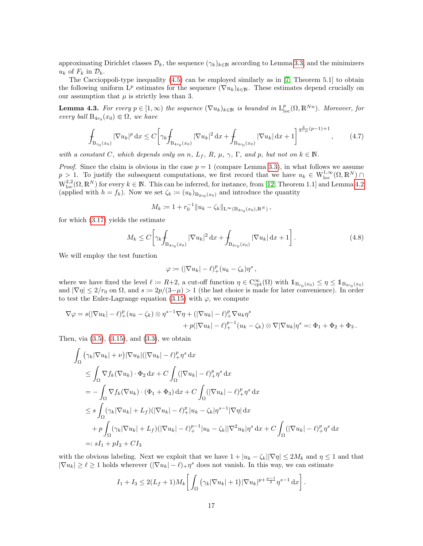approximating Dirichlet classes  $\mathcal{D}_k$ , the sequence  $(\gamma_k)_{k\in\mathbb{N}}$  according to Lemma [3.3,](#page-10-2) and the minimizers  $u_k$  of  $F_k$  in  $\mathcal{D}_k$ .

The Caccioppoli-type inequality [\(4.5\)](#page-15-3) can be employed similarly as in [\[7,](#page-25-1) Theorem 5.1] to obtain the following uniform  $L^p$  estimates for the sequence  $(\nabla u_k)_{k\in\mathbb{N}}$ . These estimates depend crucially on our assumption that  $\mu$  is strictly less than 3.

<span id="page-16-1"></span>**Lemma 4.3.** For every  $p \in [1,\infty)$  the sequence  $(\nabla u_k)_{k \in \mathbb{N}}$  is bounded in  $L^p_{loc}(\Omega,\mathbb{R}^{Nn})$ . Moreover, for every ball  $B_{4r_0}(x_0) \in \Omega$ , we have

<span id="page-16-2"></span>
$$
\int_{\mathrm{B}_{r_0}(x_0)} |\nabla u_k|^p \,\mathrm{d}x \le C \bigg[ \gamma_k \int_{\mathrm{B}_{4r_0}(x_0)} |\nabla u_k|^2 \,\mathrm{d}x + \int_{\mathrm{B}_{4r_0}(x_0)} |\nabla u_k| \,\mathrm{d}x + 1 \bigg]^{\frac{2}{3-\mu}(p-1)+1},\tag{4.7}
$$

with a constant C, which depends only on n,  $L_f$ , R,  $\mu$ ,  $\gamma$ ,  $\Gamma$ , and p, but not on  $k \in \mathbb{N}$ .

*Proof.* Since the claim is obvious in the case  $p = 1$  (compare Lemma [3.3\)](#page-10-2), in what follows we assume  $p > 1$ . To justify the subsequent computations, we first record that we have  $u_k \in W^{1,\infty}_{loc}(\Omega,\mathbb{R}^N)$  $W^{2,2}_{loc}(\Omega,\mathbb{R}^N)$  for every  $k \in \mathbb{N}$ . This can be inferred, for instance, from [\[12,](#page-26-9) Theorem 1.1] and Lemma [4.2](#page-15-1) (applied with  $h = f_k$ ). Now we set  $\zeta_k := (u_k)_{B_{2r_0}(x_0)}$  and introduce the quantity

$$
M_k \coloneqq 1 + r_0^{-1} \| u_k - \zeta_k \|_{\mathcal{L}^\infty(\mathcal{B}_{2r_0}(x_0), \mathbb{R}^N)},
$$

for which [\(3.17\)](#page-13-1) yields the estimate

<span id="page-16-0"></span>
$$
M_k \le C \left[ \gamma_k \int_{\text{B}_{4r_0}(x_0)} |\nabla u_k|^2 \, \text{d}x + \int_{\text{B}_{4r_0}(x_0)} |\nabla u_k| \, \text{d}x + 1 \right]. \tag{4.8}
$$

We will employ the test function

$$
\varphi \coloneqq (|\nabla u_k| - \ell)_+^p (u_k - \zeta_k) \eta^s,
$$

where we have fixed the level  $\ell := R+2$ , a cut-off function  $\eta \in C^{\infty}_{\text{cpt}}(\Omega)$  with  $1\!\mathbb{1}_{B_{r_0}(x_0)} \leq \eta \leq 1\!\mathbb{1}_{B_{2r_0}(x_0)}$ and  $|\nabla \eta| \leq 2/r_0$  on  $\Omega$ , and  $s := 2p/(3-\mu) > 1$  (the last choice is made for later convenience). In order to test the Euler-Lagrange equation [\(3.15\)](#page-11-1) with  $\varphi$ , we compute

$$
\nabla \varphi = s(|\nabla u_k| - \ell)_+^p (u_k - \zeta_k) \otimes \eta^{s-1} \nabla \eta + (|\nabla u_k| - \ell)_+^p \nabla u_k \eta^s
$$
  
+  $p(|\nabla u_k| - \ell)_+^{p-1} (u_k - \zeta_k) \otimes \nabla |\nabla u_k| \eta^s =: \Phi_1 + \Phi_2 + \Phi_3.$ 

Then, via  $(3.5)$ ,  $(3.15)$ , and  $(3.3)$ , we obtain

$$
\int_{\Omega} (\gamma_k |\nabla u_k| + \nu) |\nabla u_k| (|\nabla u_k| - \ell)_+^p \eta^s \, dx
$$
\n
$$
\leq \int_{\Omega} \nabla f_k (\nabla u_k) \cdot \Phi_2 \, dx + C \int_{\Omega} (|\nabla u_k| - \ell)_+^p \eta^s \, dx
$$
\n
$$
= - \int_{\Omega} \nabla f_k (\nabla u_k) \cdot (\Phi_1 + \Phi_3) \, dx + C \int_{\Omega} (|\nabla u_k| - \ell)_+^p \eta^s \, dx
$$
\n
$$
\leq s \int_{\Omega} (\gamma_k |\nabla u_k| + L_f) (|\nabla u_k| - \ell)_+^p |u_k - \zeta_k| \eta^{s-1} |\nabla \eta| \, dx
$$
\n
$$
+ p \int_{\Omega} (\gamma_k |\nabla u_k| + L_f) (|\nabla u_k| - \ell)_+^{p-1} |u_k - \zeta_k| |\nabla^2 u_k| \eta^s \, dx + C \int_{\Omega} (|\nabla u_k| - \ell)_+^p \eta^s \, dx
$$
\n
$$
=: sI_1 + pI_2 + C I_3
$$

with the obvious labeling. Next we exploit that we have  $1 + |u_k - \zeta_k| |\nabla \eta| \leq 2M_k$  and  $\eta \leq 1$  and that  $|\nabla u_k| \geq \ell \geq 1$  holds wherever  $(|\nabla u_k| - \ell)_{+} \eta^s$  does not vanish. In this way, we can estimate

$$
I_1 + I_3 \leq 2(L_f + 1)M_k \bigg[ \int_{\Omega} (\gamma_k |\nabla u_k| + 1) |\nabla u_k|^{p + \frac{\mu - 1}{2}} \eta^{s - 1} dx \bigg].
$$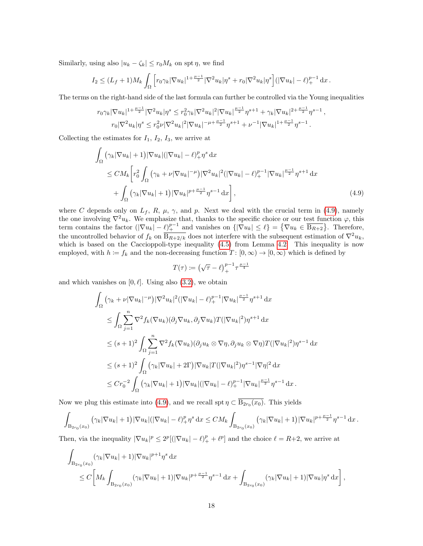Similarly, using also  $|u_k - \zeta_k| \le r_0 M_k$  on spt  $\eta$ , we find

$$
I_2 \le (L_f + 1)M_k \int_{\Omega} \left[ r_0 \gamma_k |\nabla u_k|^{1 + \frac{\mu - 1}{2}} |\nabla^2 u_k| \eta^s + r_0 |\nabla^2 u_k| \eta^s \right] (|\nabla u_k| - \ell)_+^{p-1} dx.
$$

The terms on the right-hand side of the last formula can further be controlled via the Young inequalities

$$
r_0 \gamma_k |\nabla u_k|^{1+\frac{\mu-1}{2}} |\nabla^2 u_k| \eta^s \leq r_0^2 \gamma_k |\nabla^2 u_k|^2 |\nabla u_k|^{\frac{\mu-1}{2}} \eta^{s+1} + \gamma_k |\nabla u_k|^{2+\frac{\mu-1}{2}} \eta^{s-1}
$$
  

$$
r_0 |\nabla^2 u_k| \eta^s \leq r_0^2 \nu |\nabla^2 u_k|^2 |\nabla u_k|^{-\mu+\frac{\mu-1}{2}} \eta^{s+1} + \nu^{-1} |\nabla u_k|^{1+\frac{\mu-1}{2}} \eta^{s-1}.
$$

Collecting the estimates for  $I_1$ ,  $I_2$ ,  $I_3$ , we arrive at

$$
\int_{\Omega} \left( \gamma_k |\nabla u_k| + 1 \right) |\nabla u_k| (|\nabla u_k| - \ell)_+^p \eta^s \, dx
$$
\n
$$
\leq C M_k \left[ r_0^2 \int_{\Omega} \left( \gamma_k + \nu |\nabla u_k|^{-\mu} \right) |\nabla^2 u_k|^2 (|\nabla u_k| - \ell)_+^{p-1} |\nabla u_k|^{\frac{\mu-1}{2}} \eta^{s+1} \, dx \right. \\
\left. + \int_{\Omega} \left( \gamma_k |\nabla u_k| + 1 \right) |\nabla u_k|^{p + \frac{\mu-1}{2}} \eta^{s-1} \, dx \right],
$$
\n(4.9)

<span id="page-17-0"></span>,

where C depends only on  $L_f$ , R,  $\mu$ ,  $\gamma$ , and p. Next we deal with the crucial term in [\(4.9\)](#page-17-0), namely the one involving  $\nabla^2 u_k$ . We emphasize that, thanks to the specific choice or our test function  $\varphi$ , this term contains the factor  $(|\nabla u_k| - \ell)_+^{p-1}$  and vanishes on  $\{|\nabla u_k| \leq \ell\} = \{\nabla u_k \in \overline{B_{R+2}}\}.$  Therefore, the uncontrolled behavior of  $f_k$  on  $\overline{B_{R+2/k}}$  does not interfere with the subsequent estimation of  $\nabla^2 u_k$ , which is based on the Caccioppoli-type inequality [\(4.5\)](#page-15-3) from Lemma [4.2.](#page-15-1) This inequality is now employed, with  $h := f_k$  and the non-decreasing function  $T : [0, \infty) \to [0, \infty)$  which is defined by

$$
T(\tau) \coloneqq \left(\sqrt{\tau} - \ell\right)_+^{p-1} \tau^{\frac{\mu-1}{4}}
$$

and which vanishes on  $[0, \ell]$ . Using also  $(3.2)$ , we obtain

$$
\int_{\Omega} \left( \gamma_k + \nu |\nabla u_k|^{-\mu} \right) |\nabla^2 u_k|^2 (|\nabla u_k| - \ell)_+^{p-1} |\nabla u_k|^{\frac{\mu-1}{2}} \eta^{s+1} dx
$$
\n
$$
\leq \int_{\Omega} \sum_{j=1}^n \nabla^2 f_k(\nabla u_k) (\partial_j \nabla u_k, \partial_j \nabla u_k) T(|\nabla u_k|^2) \eta^{s+1} dx
$$
\n
$$
\leq (s+1)^2 \int_{\Omega} \sum_{j=1}^n \nabla^2 f_k(\nabla u_k) (\partial_j u_k \otimes \nabla \eta, \partial_j u_k \otimes \nabla \eta) T(|\nabla u_k|^2) \eta^{s-1} dx
$$
\n
$$
\leq (s+1)^2 \int_{\Omega} (\gamma_k |\nabla u_k| + 2\Gamma) |\nabla u_k| T(|\nabla u_k|^2) \eta^{s-1} |\nabla \eta|^2 dx
$$
\n
$$
\leq C r_0^{-2} \int_{\Omega} (\gamma_k |\nabla u_k| + 1) |\nabla u_k| (|\nabla u_k| - \ell)_+^{p-1} |\nabla u_k|^{\frac{\mu-1}{2}} \eta^{s-1} dx.
$$

Now we plug this estimate into [\(4.9\)](#page-17-0), and we recall spt  $\eta \subset B_{2r_0}(x_0)$ . This yields

$$
\int_{\text{B}_{2r_0}(x_0)} \left( \gamma_k |\nabla u_k| + 1 \right) |\nabla u_k| (|\nabla u_k| - \ell)_+^p \eta^s \, dx \leq CM_k \int_{\text{B}_{2r_0}(x_0)} \left( \gamma_k |\nabla u_k| + 1 \right) |\nabla u_k|^{p + \frac{\mu - 1}{2}} \eta^{s - 1} \, dx \, .
$$

Then, via the inequality  $|\nabla u_k|^p \leq 2^p [(|\nabla u_k| - \ell)_+^p + \ell^p]$  and the choice  $\ell = R+2$ , we arrive at

$$
\int_{\text{B}_{2r_0}(x_0)} (\gamma_k |\nabla u_k| + 1) |\nabla u_k|^{p+1} \eta^s \, dx \n\leq C \bigg[ M_k \int_{\text{B}_{2r_0}(x_0)} (\gamma_k |\nabla u_k| + 1) |\nabla u_k|^{p+\frac{\mu-1}{2}} \eta^{s-1} \, dx + \int_{\text{B}_{2r_0}(x_0)} (\gamma_k |\nabla u_k| + 1) |\nabla u_k| \eta^s \, dx \bigg],
$$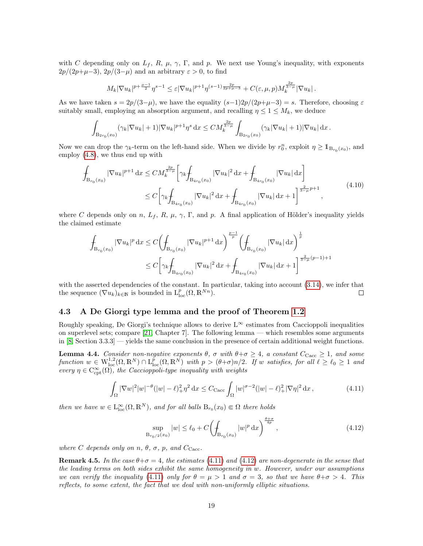with C depending only on  $L_f$ , R,  $\mu$ ,  $\gamma$ ,  $\Gamma$ , and p. We next use Young's inequality, with exponents  $2p/(2p+\mu-3), 2p/(3-\mu)$  and an arbitrary  $\varepsilon > 0$ , to find

$$
M_k |\nabla u_k|^{p+\frac{\mu-1}{2}} \eta^{s-1} \leq \varepsilon |\nabla u_k|^{p+1} \eta^{(s-1)\frac{2p}{2p+\mu-3}} + C(\varepsilon, \mu, p) M_k^{\frac{2p}{3-\mu}} |\nabla u_k|.
$$

As we have taken  $s = 2p/(3-\mu)$ , we have the equality  $(s-1)2p/(2p+\mu-3) = s$ . Therefore, choosing  $\varepsilon$ suitably small, employing an absorption argument, and recalling  $\eta \leq 1 \leq M_k$ , we deduce

$$
\int_{\text{B}_{2r_0}(x_0)} (\gamma_k |\nabla u_k| + 1) |\nabla u_k|^{p+1} \eta^s \, dx \leq C M_k^{\frac{2p}{3-\mu}} \int_{\text{B}_{2r_0}(x_0)} (\gamma_k |\nabla u_k| + 1) |\nabla u_k| \, dx \, .
$$

Now we can drop the  $\gamma_k$ -term on the left-hand side. When we divide by  $r_0^n$ , exploit  $\eta \geq \mathbb{1}_{B_{r_0}(x_0)}$ , and employ [\(4.8\)](#page-16-0), we thus end up with

$$
\int_{B_{r_0}(x_0)} |\nabla u_k|^{p+1} dx \le CM_k^{\frac{2p}{3-\mu}} \left[ \gamma_k \int_{B_{4r_0}(x_0)} |\nabla u_k|^2 dx + \int_{B_{4r_0}(x_0)} |\nabla u_k| dx \right]
$$
\n
$$
\le C \left[ \gamma_k \int_{B_{4r_0}(x_0)} |\nabla u_k|^2 dx + \int_{B_{4r_0}(x_0)} |\nabla u_k| dx + 1 \right]^{\frac{2}{3-\mu} p+1}, \tag{4.10}
$$

where C depends only on n,  $L_f$ , R,  $\mu$ ,  $\gamma$ ,  $\Gamma$ , and p. A final application of Hölder's inequality yields the claimed estimate

$$
\int_{B_{r_0}(x_0)} |\nabla u_k|^p dx \le C \left( \int_{B_{r_0}(x_0)} |\nabla u_k|^{p+1} dx \right)^{\frac{p-1}{p}} \left( \int_{B_{r_0}(x_0)} |\nabla u_k| dx \right)^{\frac{1}{p}}
$$
\n
$$
\le C \left[ \gamma_k \int_{B_{4r_0}(x_0)} |\nabla u_k|^2 dx + \int_{B_{4r_0}(x_0)} |\nabla u_k| dx + 1 \right]^{\frac{2}{3-\mu}(p-1)+1}
$$

with the asserted dependencies of the constant. In particular, taking into account  $(3.14)$ , we infer that the sequence  $(\nabla u_k)_{k \in \mathbb{N}}$  is bounded in  $L^p_{loc}(\Omega,\mathbb{R}^{Nn})$ .  $\Box$ 

#### <span id="page-18-0"></span>4.3 A De Giorgi type lemma and the proof of Theorem [1.2](#page-2-1)

Roughly speaking, De Giorgi's technique allows to derive  $L^{\infty}$  estimates from Caccioppoli inequalities on superlevel sets; compare [\[21,](#page-26-23) Chapter 7]. The following lemma — which resembles some arguments in [\[8,](#page-25-6) Section 3.3.3] — yields the same conclusion in the presence of certain additional weight functions.

<span id="page-18-3"></span>**Lemma 4.4.** Consider non-negative exponents  $\theta$ ,  $\sigma$  with  $\theta + \sigma \geq 4$ , a constant  $C_{\text{Cacc}} \geq 1$ , and some function  $w \in W^{1,2}_{loc}(\Omega,\mathbb{R}^N) \cap L^p_{loc}(\Omega,\mathbb{R}^N)$  with  $p > (\theta+\sigma)n/2$ . If w satisfies, for all  $\ell \geq \ell_0 \geq 1$  and every  $\eta \in C^{\infty}_{\text{cpt}}(\Omega)$ , the Caccioppoli-type inequality with weights

<span id="page-18-1"></span>
$$
\int_{\Omega} |\nabla w|^2 |w|^{-\theta} (|w| - \ell)_+^2 \eta^2 dx \le C_{\text{Cacc}} \int_{\Omega} |w|^{\sigma - 2} (|w| - \ell)_+^2 |\nabla \eta|^2 dx, \tag{4.11}
$$

then we have  $w \in L^{\infty}_{loc}(\Omega, \mathbb{R}^{N})$ , and for all balls  $B_{r_0}(x_0) \in \Omega$  there holds

<span id="page-18-2"></span>
$$
\sup_{B_{r_0/2}(x_0)} |w| \le \ell_0 + C \left( \int_{B_{r_0}(x_0)} |w|^p dx \right)^{\frac{\theta + \sigma}{4p}}, \tag{4.12}
$$

where C depends only on n,  $\theta$ ,  $\sigma$ , p, and  $C_{\text{Cacc}}$ .

**Remark 4.5.** In the case  $\theta + \sigma = 4$ , the estimates [\(4.11\)](#page-18-1) and [\(4.12\)](#page-18-2) are non-degenerate in the sense that the leading terms on both sides exhibit the same homogeneity in w. However, under our assumptions we can verify the inequality [\(4.11\)](#page-18-1) only for  $\theta = \mu > 1$  and  $\sigma = 3$ , so that we have  $\theta + \sigma > 4$ . This reflects, to some extent, the fact that we deal with non-uniformly elliptic situations.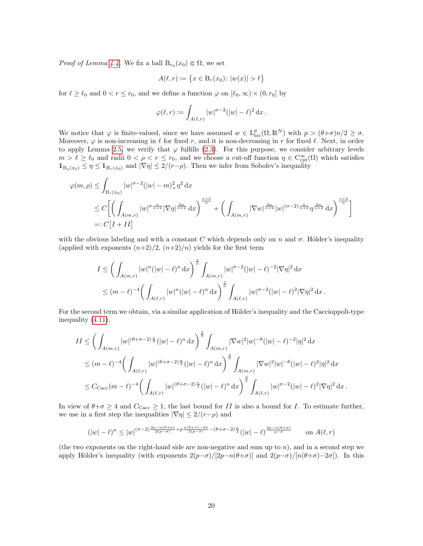*Proof of Lemma [4.4.](#page-18-3)* We fix a ball  $B_{r_0}(x_0) \in \Omega$ , we set

$$
A(\ell, r) \coloneqq \{ x \in B_r(x_0) \colon |w(x)| > \ell \}
$$

for  $\ell \ge \ell_0$  and  $0 < r \le r_0$ , and we define a function  $\varphi$  on  $[\ell_0, \infty) \times (0, r_0]$  by

$$
\varphi(\ell,r) \coloneqq \int_{A(\ell,r)} |w|^{\sigma-2} (|w| - \ell)^2 \, dx.
$$

We notice that  $\varphi$  is finite-valued, since we have assumed  $w \in L^p_{loc}(\Omega, \mathbb{R}^N)$  with  $p > (\theta + \sigma)n/2 \ge \sigma$ . Moreover,  $\varphi$  is non-increasing in  $\ell$  for fixed r, and it is non-decreasing in r for fixed  $\ell$ . Next, in order to apply Lemma [2.5,](#page-6-3) we verify that  $\varphi$  fulfills [\(2.3\)](#page-6-2). For this purpose, we consider arbitrary levels  $m > \ell \geq \ell_0$  and radii  $0 < \rho < r \leq r_0$ , and we choose a cut-off function  $\eta \in C^{\infty}_{\text{cpt}}(\Omega)$  which satisfies  $1_{B_{\rho}(x_0)} \leq \eta \leq 1_{B_r(x_0)}$  and  $|\nabla \eta| \leq 2/(r-\rho)$ . Then we infer from Sobolev's inequality

$$
\varphi(m,\rho) \leq \int_{B_r(x_0)} |w|^{\sigma-2} (|w|-m)_+^2 \eta^2 dx
$$
  
\n
$$
\leq C \bigg[ \bigg( \int_{A(m,r)} |w|^{\sigma} \frac{n}{n+2} |\nabla \eta| \frac{2n}{n+2} dx \bigg)^{\frac{n+2}{n}} + \bigg( \int_{A(m,r)} |\nabla w| \frac{2n}{n+2} |w|^{(\sigma-2)} \frac{n}{n+2} \eta^{\frac{2n}{n+2}} dx \bigg)^{\frac{n+2}{n}} \bigg]
$$
  
\n=:  $C[I+II]$ 

with the obvious labeling and with a constant C which depends only on n and  $\sigma$ . Hölder's inequality (applied with exponents  $(n+2)/2$ ,  $(n+2)/n$ ) yields for the first term

$$
I \leq \left(\int_{A(m,r)} |w|^n (|w| - \ell)^n dx\right)^{\frac{2}{n}} \int_{A(m,r)} |w|^{\sigma-2} (|w| - \ell)^{-2} |\nabla \eta|^2 dx
$$
  

$$
\leq (m - \ell)^{-4} \left(\int_{A(\ell,r)} |w|^n (|w| - \ell)^n dx\right)^{\frac{2}{n}} \int_{A(\ell,r)} |w|^{\sigma-2} (|w| - \ell)^2 |\nabla \eta|^2 dx.
$$

For the second term we obtain, via a similar application of Hölder's inequality and the Caccioppoli-type inequality [\(4.11\)](#page-18-1),

$$
II \leq \left(\int_{A(m,r)} |w|^{(\theta+\sigma-2)\frac{n}{2}}(|w|-\ell)^n dx\right)^{\frac{2}{n}} \int_{A(m,r)} |\nabla w|^2 |w|^{-\theta} (|w|-\ell)^{-2} |\eta|^2 dx
$$
  

$$
\leq (m-\ell)^{-4} \left(\int_{A(\ell,r)} |w|^{(\theta+\sigma-2)\frac{n}{2}} (|w|-\ell)^n dx\right)^{\frac{2}{n}} \int_{A(m,r)} |\nabla w|^2 |w|^{-\theta} (|w|-\ell)^2 |\eta|^2 dx
$$
  

$$
\leq C_{\text{Cacc}}(m-\ell)^{-4} \left(\int_{A(\ell,r)} |w|^{(\theta+\sigma-2)\frac{n}{2}} (|w|-\ell)^n dx\right)^{\frac{2}{n}} \int_{A(\ell,r)} |w|^{\sigma-2} (|w|-\ell)^2 |\nabla \eta|^2 dx.
$$

In view of  $\theta + \sigma \geq 4$  and  $C_{\text{Cacc}} \geq 1$ , the last bound for II is also a bound for I. To estimate further, we use in a first step the inequalities  $|\nabla \eta| \leq 2/(r-\rho)$  and

$$
(|w|-\ell)^n\leq |w|^{(\sigma-2)\frac{2p-n(\theta+\sigma)}{2(p-\sigma)}+p\frac{n(\theta+\sigma)-2\sigma}{2(p-\sigma)}-(\theta+\sigma-2)\frac{n}{2}}(|w|-\ell)^{\frac{2p-n(\theta+\sigma)}{p-\sigma}}\qquad\text{on }A(\ell,r)
$$

(the two exponents on the right-hand side are non-negative and sum up to  $n$ ), and in a second step we apply Hölder's inequality (with exponents  $2(p-\sigma)/[2p-n(\theta+\sigma)]$  and  $2(p-\sigma)/[n(\theta+\sigma)-2\sigma]$ ). In this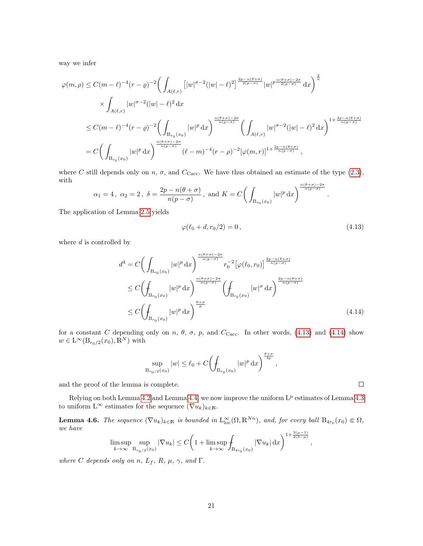way we infer

$$
\varphi(m,\rho) \le C(m-\ell)^{-4}(r-\varrho)^{-2} \Big(\int_{A(\ell,r)} \left[ |w|^{\sigma-2} (|w|-\ell)^{2} \right]^{\frac{2p-n(\theta+\sigma)}{2(p-\sigma)}} |w|^{p\frac{n(\theta+\sigma)-2\sigma}{2(p-\sigma)}} dx \Big)^{\frac{2}{n}} \times \int_{A(\ell,r)} |w|^{\sigma-2} (|w|-\ell)^{2} dx \le C(m-\ell)^{-4}(r-\varrho)^{-2} \Big(\int_{B_{r_{0}}(x_{0})} |w|^{p} dx \Big)^{\frac{n(\theta+\sigma)-2\sigma}{n(p-\sigma)}} \Big(\int_{A(\ell,r)} |w|^{\sigma-2} (|w|-\ell)^{2} dx \Big)^{1+\frac{2p-n(\theta+\sigma)}{n(p-\sigma)}} = C \Big(\int_{B_{r_{0}}(x_{0})} |w|^{p} dx \Big)^{\frac{n(\theta+\sigma)-2\sigma}{n(p-\sigma)}} (\ell-m)^{-4}(r-\rho)^{-2} [\varphi(m,r)]^{1+\frac{2p-n(\theta+\sigma)}{n(p-\sigma)}},
$$

where C still depends only on n,  $\sigma$ , and  $C_{\text{Cacc}}$ . We have thus obtained an estimate of the type [\(2.3\)](#page-6-2), with

$$
\alpha_1 = 4
$$
,  $\alpha_2 = 2$ ,  $\delta = \frac{2p - n(\theta + \sigma)}{n(p - \sigma)}$ , and  $K = C \left( \int_{B_{r_0}(x_0)} |w|^p dx \right)^{\frac{n(\theta + \sigma) - 2\sigma}{n(p - \sigma)}}$ .

The application of Lemma [2.5](#page-6-3) yields

<span id="page-20-0"></span>
$$
\varphi(\ell_0 + d, r_0/2) = 0, \tag{4.13}
$$

where  $d$  is controlled by

$$
d^{4} = C \left( \int_{B_{r_{0}}(x_{0})} |w|^{p} dx \right)^{\frac{n(\theta+\sigma)-2\sigma}{n(p-\sigma)}} r_{0}^{-2} \left[ \varphi(\ell_{0}, r_{0}) \right]^{\frac{2p-n(\theta+\sigma)}{n(p-\sigma)}} \leq C \left( \int_{B_{r_{0}}(x_{0})} |w|^{p} dx \right)^{\frac{n(\theta+\sigma)-2\sigma}{n(p-\sigma)}} \left( \int_{B_{r_{0}}(x_{0})} |w|^{p} dx \right)^{\frac{2p-n(\theta+\sigma)}{n(p-\sigma)}} \leq C \left( \int_{B_{r_{0}}(x_{0})} |w|^{p} dx \right)^{\frac{\theta+\sigma}{p}} \tag{4.14}
$$

for a constant C depending only on n,  $\theta$ ,  $\sigma$ ,  $p$ , and  $C_{Cacc}$ . In other words, [\(4.13\)](#page-20-0) and [\(4.14\)](#page-20-1) show  $w \in \mathcal{L}^{\infty}(\mathcal{B}_{r_0/2}(x_0), \overline{\mathbb{R}}^N)$  with

$$
\sup_{B_{r_0/2}(x_0)}|w| \leq \ell_0 + C \left(\int_{B_{r_0}(x_0)}|w|^p dx\right)^{\frac{\theta+\sigma}{4p}},
$$

and the proof of the lemma is complete.

Relying on both Lemma [4.2](#page-15-1) and Lemma [4.4,](#page-18-3) we now improve the uniform  $L^p$  estimates of Lemma [4.3](#page-16-1) to uniform  $L^{\infty}$  estimates for the sequence  $(\nabla u_k)_{k\in\mathbb{N}}$ .

<span id="page-20-2"></span>**Lemma 4.6.** The sequence  $(\nabla u_k)_{k \in \mathbb{N}}$  is bounded in  $L^{\infty}_{loc}(\Omega, \mathbb{R}^{Nn})$ , and, for every ball  $B_{4r_0}(x_0) \in \Omega$ , we have  $1+ \frac{3(\mu-1)}{2}$ 

$$
\limsup_{k \to \infty} \sup_{B_{r_0/2}(x_0)} |\nabla u_k| \le C \bigg( 1 + \limsup_{k \to \infty} \int_{B_{4r_0}(x_0)} |\nabla u_k| \, dx \bigg)^{1 + \frac{1}{2(3-\mu)}}
$$

where C depends only on n,  $L_f$ , R,  $\mu$ ,  $\gamma$ , and  $\Gamma$ .

<span id="page-20-1"></span> $\Box$ 

,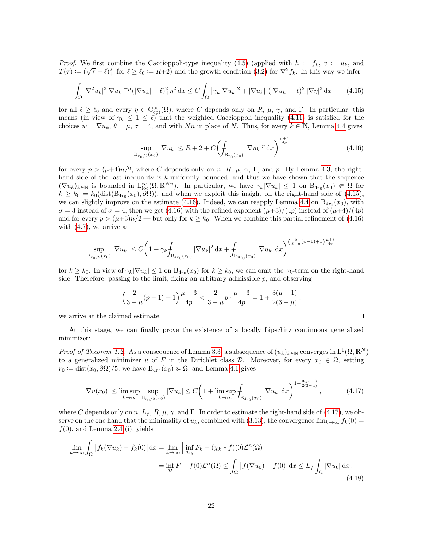*Proof.* We first combine the Caccioppoli-type inequality [\(4.5\)](#page-15-3) (applied with  $h := f_k$ ,  $v := u_k$ , and *T(τ)* :=  $(\sqrt{\tau} - \ell)_+^2$  for  $\ell \ge \ell_0$  := R+2) and the growth condition [\(3.2\)](#page-8-0) for  $\nabla^2 f_k$ . In this way we infer

<span id="page-21-0"></span>
$$
\int_{\Omega} |\nabla^2 u_k|^2 |\nabla u_k|^{-\mu} (|\nabla u_k| - \ell)_+^2 \eta^2 \, dx \le C \int_{\Omega} \left[ \gamma_k |\nabla u_k|^2 + |\nabla u_k| \right] (|\nabla u_k| - \ell)_+^2 |\nabla \eta|^2 \, dx \tag{4.15}
$$

for all  $\ell \geq \ell_0$  and every  $\eta \in C^{\infty}_{\text{cpt}}(\Omega)$ , where C depends only on R,  $\mu$ ,  $\gamma$ , and  $\Gamma$ . In particular, this means (in view of  $\gamma_k \leq 1 \leq \ell$ ) that the weighted Caccioppoli inequality [\(4.11\)](#page-18-1) is satisfied for the choices  $w = \nabla u_k$ ,  $\theta = \mu$ ,  $\sigma = 4$ , and with Nn in place of N. Thus, for every  $k \in \mathbb{N}$ , Lemma [4.4](#page-18-3) gives

<span id="page-21-1"></span>
$$
\sup_{B_{r_0/2}(x_0)} |\nabla u_k| \le R + 2 + C \left( \int_{B_{r_0}(x_0)} |\nabla u_k|^p \, dx \right)^{\frac{\mu+4}{4p}} \tag{4.16}
$$

<span id="page-21-3"></span> $\Box$ 

for every  $p > (\mu+4)n/2$ , where C depends only on n, R,  $\mu$ ,  $\gamma$ ,  $\Gamma$ , and p. By Lemma [4.3,](#page-16-1) the righthand side of the last inequality is k-uniformly bounded, and thus we have shown that the sequence  $(\nabla u_k)_{k\in\mathbb{N}}$  is bounded in  $L^{\infty}_{loc}(\Omega,\mathbb{R}^{Nn})$ . In particular, we have  $\gamma_k|\nabla u_k|\leq 1$  on  $B_{4r_0}(x_0)\in\Omega$  for  $k \geq k_0 = k_0(\text{dist}(\text{B}_{4r_0}(x_0), \partial \Omega))$ , and when we exploit this insight on the right-hand side of [\(4.15\)](#page-21-0), we can slightly improve on the estimate [\(4.16\)](#page-21-1). Indeed, we can reapply Lemma [4.4](#page-18-3) on  $B_{4r_0}(x_0)$ , with  $\sigma = 3$  instead of  $\sigma = 4$ ; then we get [\(4.16\)](#page-21-1) with the refined exponent  $(\mu+3)/(4p)$  instead of  $(\mu+4)/(4p)$ and for every  $p > (\mu+3)n/2$  — but only for  $k \geq k_0$ . When we combine this partial refinement of [\(4.16\)](#page-21-1) with [\(4.7\)](#page-16-2), we arrive at

$$
\sup_{B_{r_0/2}(x_0)} |\nabla u_k| \le C \bigg( 1 + \gamma_k \int_{B_{4r_0}(x_0)} |\nabla u_k|^2 \, \mathrm{d} x + \int_{B_{4r_0}(x_0)} |\nabla u_k| \, \mathrm{d} x \bigg)^{\left(\frac{2}{3-\mu}(p-1)+1\right)\frac{\mu+3}{4p}}
$$

for  $k \geq k_0$ . In view of  $\gamma_k |\nabla u_k| \leq 1$  on  $B_{4r_0}(x_0)$  for  $k \geq k_0$ , we can omit the  $\gamma_k$ -term on the right-hand side. Therefore, passing to the limit, fixing an arbitrary admissible  $p$ , and observing

$$
\left(\frac{2}{3-\mu}(p-1)+1\right)\frac{\mu+3}{4p} < \frac{2}{3-\mu}p \cdot \frac{\mu+3}{4p} = 1 + \frac{3(\mu-1)}{2(3-\mu)},
$$

we arrive at the claimed estimate.

At this stage, we can finally prove the existence of a locally Lipschitz continuous generalized minimizer:

*Proof of Theorem [1.2.](#page-2-1)* As a consequence of Lemma [3.3,](#page-10-2) a subsequence of  $(u_k)_{k\in\mathbb{N}}$  converges in  $L^1(\Omega,\mathbb{R}^N)$ to a generalized minimizer u of F in the Dirichlet class D. Moreover, for every  $x_0 \in \Omega$ , setting  $r_0 \coloneqq \text{dist}(x_0, \partial \Omega)/5$ , we have  $B_{4r_0}(x_0) \in \Omega$ , and Lemma [4.6](#page-20-2) gives

<span id="page-21-2"></span>
$$
|\nabla u(x_0)| \le \limsup_{k \to \infty} \sup_{B_{r_0/2}(x_0)} |\nabla u_k| \le C \left( 1 + \limsup_{k \to \infty} \int_{B_{4r_0}(x_0)} |\nabla u_k| \, dx \right)^{1 + \frac{3(\mu - 1)}{2(3 - \mu)}},\tag{4.17}
$$

where C depends only on n,  $L_f$ , R,  $\mu$ ,  $\gamma$ , and  $\Gamma$ . In order to estimate the right-hand side of [\(4.17\)](#page-21-2), we observe on the one hand that the minimality of  $u_k$ , combined with [\(3.13\)](#page-10-0), the convergence  $\lim_{k\to\infty} f_k(0) =$  $f(0)$ , and Lemma [2.4](#page-5-0) (i), yields

$$
\lim_{k \to \infty} \int_{\Omega} \left[ f_k(\nabla u_k) - f_k(0) \right] dx = \lim_{k \to \infty} \left[ \inf_{\mathcal{D}_k} F_k - (\chi_k * f)(0) \mathcal{L}^n(\Omega) \right]
$$
  
= 
$$
\inf_{\mathcal{D}} F - f(0) \mathcal{L}^n(\Omega) \le \int_{\Omega} \left[ f(\nabla u_0) - f(0) \right] dx \le L_f \int_{\Omega} |\nabla u_0| dx.
$$
 (4.18)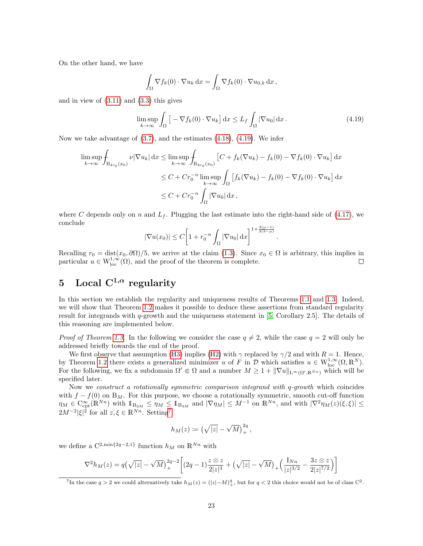On the other hand, we have

$$
\int_{\Omega} \nabla f_k(0) \cdot \nabla u_k \,dx = \int_{\Omega} \nabla f_k(0) \cdot \nabla u_{0,k} \,dx,
$$

and in view of  $(3.11)$  and  $(3.3)$  this gives

<span id="page-22-1"></span>
$$
\limsup_{k \to \infty} \int_{\Omega} \left[ -\nabla f_k(0) \cdot \nabla u_k \right] dx \le L_f \int_{\Omega} |\nabla u_0| dx.
$$
 (4.19)

.

Now we take advantage of  $(3.7)$ , and the estimates  $(4.18)$ ,  $(4.19)$ . We infer

$$
\limsup_{k \to \infty} \int_{\text{B}_{4r_0}(x_0)} \nu |\nabla u_k| \, dx \le \limsup_{k \to \infty} \int_{\text{B}_{4r_0}(x_0)} \left[ C + f_k(\nabla u_k) - f_k(0) - \nabla f_k(0) \cdot \nabla u_k \right] \, dx
$$
\n
$$
\le C + Cr_0^{-n} \limsup_{k \to \infty} \int_{\Omega} \left[ f_k(\nabla u_k) - f_k(0) - \nabla f_k(0) \cdot \nabla u_k \right] \, dx
$$
\n
$$
\le C + Cr_0^{-n} \int_{\Omega} |\nabla u_0| \, dx,
$$

where C depends only on n and  $L_f$ . Plugging the last estimate into the right-hand side of [\(4.17\)](#page-21-2), we conclude

$$
|\nabla u(x_0)| \le C \left[ 1 + r_0^{-n} \int_{\Omega} |\nabla u_0| \,dx \right]^{1 + \frac{3(\mu - 1)}{2(3 - \mu)}}
$$

Recalling  $r_0 = \text{dist}(x_0, \partial \Omega)/5$ , we arrive at the claim [\(1.3\)](#page-2-5). Since  $x_0 \in \Omega$  is arbitrary, this implies in particular  $u \in W^{1,\infty}_{loc}(\Omega)$ , and the proof of the theorem is complete.  $\Box$ 

# <span id="page-22-0"></span>5 Local  $C^{1,\alpha}$  regularity

In this section we establish the regularity and uniqueness results of Theorems [1.1](#page-1-3) and [1.3.](#page-3-0) Indeed, we will show that Theorem [1.2](#page-2-1) makes it possible to deduce these assertions from standard regularity result for integrands with  $q$ -growth and the uniqueness statement in [\[5,](#page-25-3) Corollary 2.5]. The details of this reasoning are implemented below.

*Proof of Theorem [1.3.](#page-3-0)* In the following we consider the case  $q \neq 2$ , while the case  $q = 2$  will only be addressed briefly towards the end of the proof.

We first observe that assumption [\(H3\)](#page-3-1) implies [\(H2\)](#page-2-2) with  $\gamma$  replaced by  $\gamma/2$  and with  $R = 1$ . Hence, by Theorem [1.2](#page-2-1) there exists a generalized minimizer u of F in  $\mathcal D$  which satisfies  $u \in W^{1,\infty}_{loc}(\Omega,\mathbb R^N)$ . For the following, we fix a subdomain  $\Omega' \in \Omega$  and a number  $M \geq 1 + ||\nabla u||_{L^{\infty}(\Omega', \mathbb{R}^{N_n})}$  which will be specified later.

Now we construct a rotationally symmetric comparison integrand with q-growth which coincides with  $f - f(0)$  on B<sub>M</sub>. For this purpose, we choose a rotationally symmetric, smooth cut-off function  $\eta_M \in \mathrm{C}_{\mathrm{cpt}}^{\infty}(\mathbb{R}^{Nn})$  with  $1\!\!1_{\mathrm{B}_{2M}} \leq \eta_M \leq 1\!\!1_{\mathrm{B}_{4M}}$  and  $|\nabla \eta_M| \leq M^{-1}$  on  $\mathbb{R}^{Nn}$ , and with  $|\nabla^2 \eta_M(z)(\xi, \xi)| \leq$  $2M^{-2}|\xi|^2$  for all  $z,\xi \in \mathbb{R}^{Nn}$ . Setting<sup>[7](#page-22-2)</sup>

$$
h_M(z) := (\sqrt{|z|} - \sqrt{M})_+^{2q},
$$

we define a  $C^{2,\min\{2q-2,1\}}$  function  $h_M$  on  $\mathbb{R}^{Nn}$  with

$$
\nabla^2 h_M(z) = q(\sqrt{|z|} - \sqrt{M})_+^{2q-2} \left[ (2q-1) \frac{z \otimes z}{2|z|^3} + (\sqrt{|z|} - \sqrt{M})_+ \left( \frac{I_{Nn}}{|z|^{3/2}} - \frac{3z \otimes z}{2|z|^{7/2}} \right) \right]
$$

<span id="page-22-2"></span><sup>&</sup>lt;sup>7</sup>In the case  $q > 2$  we could alternatively take  $h_M(z) = (|z|-M)_+^q$ , but for  $q < 2$  this choice would not be of class C<sup>2</sup>.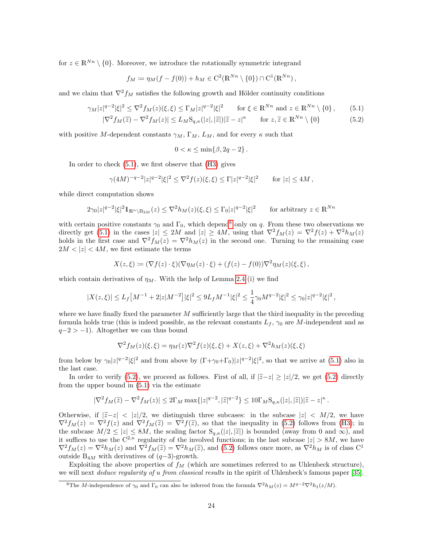for  $z \in \mathbb{R}^{Nn} \setminus \{0\}$ . Moreover, we introduce the rotationally symmetric integrand

$$
f_M := \eta_M(f - f(0)) + h_M \in C^2(\mathbb{R}^{Nn} \setminus \{0\}) \cap C^1(\mathbb{R}^{Nn}),
$$

and we claim that  $\nabla^2 f_M$  satisfies the following growth and Hölder continuity conditions

$$
\gamma_M |z|^{q-2} |\xi|^2 \le \nabla^2 f_M(z)(\xi, \xi) \le \Gamma_M |z|^{q-2} |\xi|^2 \qquad \text{for } \xi \in \mathbb{R}^{Nn} \text{ and } z \in \mathbb{R}^{Nn} \setminus \{0\},\tag{5.1}
$$

$$
|\nabla^2 f_M(\tilde{z}) - \nabla^2 f_M(z)| \le L_M \mathcal{S}_{q,\kappa}(|z|,|\tilde{z}|) |\tilde{z} - z|^{\kappa} \qquad \text{for } z, \tilde{z} \in \mathbb{R}^{Nn} \setminus \{0\}
$$
 (5.2)

with positive M-dependent constants  $\gamma_M$ ,  $\Gamma_M$ ,  $L_M$ , and for every  $\kappa$  such that

<span id="page-23-2"></span><span id="page-23-0"></span>
$$
0 < \kappa \le \min\{\beta, 2q - 2\} \, .
$$

In order to check  $(5.1)$ , we first observe that  $(H3)$  gives

$$
\gamma(4M)^{-q-2}|z|^{q-2}|\xi|^2 \leq \nabla^2 f(z)(\xi,\xi) \leq \Gamma |z|^{q-2}|\xi|^2 \qquad \text{for } |z| \leq 4M,
$$

while direct computation shows

$$
2\gamma_0|z|^{q-2}|\xi|^2 1\!\!1_{\mathbb{R}^n\setminus \mathcal{B}_{2M}}(z) \le \nabla^2 h_M(z)(\xi,\xi) \le \Gamma_0|z|^{q-2}|\xi|^2 \qquad \text{for arbitrary } z \in \mathbb{R}^{Nn}
$$

with certain positive constants  $\gamma_0$  and  $\Gamma_0$ , which depend<sup>[8](#page-23-1)</sup> only on q. From these two observations we directly get [\(5.1\)](#page-23-0) in the cases  $|z| \le 2M$  and  $|z| \ge 4M$ , using that  $\nabla^2 f_M(z) = \nabla^2 f(z) + \nabla^2 h_M(z)$ holds in the first case and  $\nabla^2 f_M(z) = \nabla^2 h_M(z)$  in the second one. Turning to the remaining case  $2M < |z| < 4M$ , we first estimate the terms

$$
X(z,\xi) := (\nabla f(z) \cdot \xi)(\nabla \eta_M(z) \cdot \xi) + (f(z) - f(0))\nabla^2 \eta_M(z)(\xi, \xi) ,
$$

which contain derivatives of  $\eta_M$ . With the help of Lemma [2.4](#page-5-0) (i) we find

$$
|X(z,\xi)|\leq L_f\big[M^{-1}+2|z|M^{-2}\big]|\xi|^2\leq 9L_fM^{-1}|\xi|^2\leq \frac{1}{4}\gamma_0M^{q-2}|\xi|^2\leq \gamma_0|z|^{q-2}|\xi|^2\,,
$$

where we have finally fixed the parameter  $M$  sufficiently large that the third inequality in the preceding formula holds true (this is indeed possible, as the relevant constants  $L_f$ ,  $\gamma_0$  are M-independent and as  $q-2 > -1$ ). Altogether we can thus bound

$$
\nabla^2 f_M(z)(\xi, \xi) = \eta_M(z) \nabla^2 f(z)(\xi, \xi) + X(z, \xi) + \nabla^2 h_M(z)(\xi, \xi)
$$

from below by  $\gamma_0 |z|^{q-2} |\xi|^2$  and from above by  $(\Gamma + \gamma_0 + \Gamma_0)|z|^{q-2} |\xi|^2$ , so that we arrive at [\(5.1\)](#page-23-0) also in the last case.

In order to verify [\(5.2\)](#page-23-2), we proceed as follows. First of all, if  $|\tilde{z}-z| \geq |z|/2$ , we get (5.2) directly from the upper bound in [\(5.1\)](#page-23-0) via the estimate

$$
|\nabla^2 f_M(\widetilde{z}) - \nabla^2 f_M(z)| \leq 2\Gamma_M \max\{|z|^{q-2}, |\widetilde{z}|^{q-2}\} \leq 10\Gamma_M \mathcal{S}_{q,\kappa}(|z|, |\widetilde{z}|)|\widetilde{z} - z|^{\kappa}.
$$

Otherwise, if  $|\tilde{z}-z| < |z|/2$ , we distinguish three subcases: in the subcase  $|z| < M/2$ , we have  $\nabla^2 f_M(z) = \nabla^2 f(z)$  and  $\nabla^2 f_M(\tilde{z}) = \nabla^2 f(\tilde{z})$ , so that the inequality in [\(5.2\)](#page-23-2) follows from [\(H3\)](#page-3-1); in the subcase  $M/2 \leq |z| \leq 8M$ , the scaling factor  $S_{q,\kappa}(|z|,|\tilde{z}|)$  is bounded (away from 0 and  $\infty$ ), and it suffices to use the  $C^{2,\kappa}$  regularity of the involved functions; in the last subcase  $|z| > 8M$ , we have  $\nabla^2 f_M(z) = \nabla^2 h_M(z)$  and  $\nabla^2 f_M(\tilde{z}) = \nabla^2 h_M(\tilde{z})$ , and [\(5.2\)](#page-23-2) follows once more, as  $\nabla^2 h_M$  is of class C<sup>1</sup> outside  $B_{4M}$  with derivatives of  $(q-3)$ -growth.

Exploiting the above properties of  $f_M$  (which are sometimes referred to as Uhlenbeck structure), we will next *deduce regularity of u from classical results* in the spirit of Uhlenbeck's famous paper [\[35\]](#page-26-14).

<span id="page-23-1"></span><sup>&</sup>lt;sup>8</sup>The M-independence of  $\gamma_0$  and  $\Gamma_0$  can also be inferred from the formula  $\nabla^2 h_M(z) = M^{q-2} \nabla^2 h_1(z/M)$ .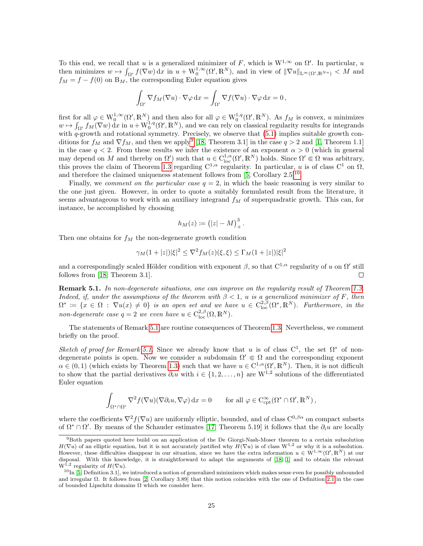To this end, we recall that u is a generalized minimizer of F, which is  $W^{1,\infty}$  on  $\Omega'$ . In particular, u then minimizes  $w \mapsto \int_{\Omega'} f(\nabla w) dx$  in  $u + W_0^{1,\infty}(\Omega', \mathbb{R}^N)$ , and in view of  $\|\nabla u\|_{\mathcal{L}^\infty(\Omega', \mathbb{R}^{N_n})} < M$  and  $f_M = f - f(0)$  on B<sub>M</sub>, the corresponding Euler equation gives

$$
\int_{\Omega'} \nabla f_M(\nabla u) \cdot \nabla \varphi \, dx = \int_{\Omega'} \nabla f(\nabla u) \cdot \nabla \varphi \, dx = 0,
$$

first for all  $\varphi \in W_0^{1,\infty}(\Omega',\mathbb{R}^N)$  and then also for all  $\varphi \in W_0^{1,q}(\Omega',\mathbb{R}^N)$ . As  $f_M$  is convex, u minimizes  $w \mapsto \int_{\Omega'} f_M(\nabla w) dx$  in  $u+W_0^{1,q}(\Omega',\mathbb{R}^N)$ , and we can rely on classical regularity results for integrands with  $q$ -growth and rotational symmetry. Precisely, we observe that  $(5.1)$  implies suitable growth conditions for  $f_M$  and  $\nabla f_M$ , and then we apply<sup>[9](#page-24-0)</sup> [\[18,](#page-26-16) Theorem 3.1] in the case  $q > 2$  and [\[1,](#page-25-7) Theorem 1.1] in the case  $q < 2$ . From these results we infer the existence of an exponent  $\alpha > 0$  (which in general may depend on M and thereby on  $\Omega'$ ) such that  $u \in C^{1,\alpha}_{loc}(\Omega', \mathbb{R}^N)$  holds. Since  $\Omega' \subseteq \Omega$  was arbitrary, this proves the claim of Theorem [1.3](#page-3-0) regarding  $C^{1,\alpha}$  regularity. In particular, u is of class  $C^1$  on  $\Omega$ , and therefore the claimed uniqueness statement follows from  $[5,$  Corollary  $2.5]^{10}$  $2.5]^{10}$  $2.5]^{10}$ .

Finally, we *comment on the particular case*  $q = 2$ , in which the basic reasoning is very similar to the one just given. However, in order to quote a suitably formulated result from the literature, it seems advantageous to work with an auxiliary integrand  $f_M$  of superquadratic growth. This can, for instance, be accomplished by choosing

$$
h_M(z) := (|z| - M)^3_+.
$$

Then one obtains for  $f_M$  the non-degenerate growth condition

$$
\gamma_M(1+|z|)|\xi|^2 \le \nabla^2 f_M(z)(\xi,\xi) \le \Gamma_M(1+|z|)|\xi|^2
$$

and a correspondingly scaled Hölder condition with exponent  $\beta$ , so that  $C^{1,\alpha}$  regularity of u on  $\Omega'$  still follows from [\[18,](#page-26-16) Theorem 3.1].  $\Box$ 

<span id="page-24-2"></span>Remark 5.1. In non-degenerate situations, one can improve on the regularity result of Theorem [1.3.](#page-3-0) Indeed, if, under the assumptions of the theorem with  $\beta < 1$ , u is a generalized minimizer of F, then  $\Omega^* := \{x \in \Omega : \nabla u(x) \neq 0\}$  is an open set and we have  $u \in C^{2,\beta}_{loc}(\Omega^*, \mathbb{R}^N)$ . Furthermore, in the non-degenerate case  $q = 2$  we even have  $u \in C^{2,\beta}_{loc}(\Omega,\mathbb{R}^N)$ .

The statements of Remark [5.1](#page-24-2) are routine consequences of Theorem [1.3.](#page-3-0) Nevertheless, we comment briefly on the proof.

Sketch of proof for Remark [5.1.](#page-24-2) Since we already know that u is of class  $C^1$ , the set  $\Omega^*$  of nondegenerate points is open. Now we consider a subdomain  $\Omega' \in \Omega$  and the corresponding exponent  $\alpha \in (0,1)$  (which exists by Theorem [1.3\)](#page-3-0) such that we have  $u \in C^{1,\alpha}(\Omega', \mathbb{R}^N)$ . Then, it is not difficult to show that the partial derivatives  $\partial_i u$  with  $i \in \{1, 2, ..., n\}$  are  $W^{1,2}$  solutions of the differentiated Euler equation

$$
\int_{\Omega^*\cap\Omega'} \nabla^2 f(\nabla u)(\nabla \partial_i u, \nabla \varphi) \,dx = 0 \quad \text{for all } \varphi \in C_{\mathrm{cpt}}^\infty(\Omega^* \cap \Omega', \mathbb{R}^N),
$$

where the coefficients  $\nabla^2 f(\nabla u)$  are uniformly elliptic, bounded, and of class  $C^{0,\beta\alpha}$  on compact subsets of  $\Omega^* \cap \Omega'$ . By means of the Schauder estimates [\[17,](#page-26-24) Theorem 5.19] it follows that the  $\partial_i u$  are locally

<span id="page-24-0"></span><sup>9</sup>Both papers quoted here build on an application of the De Giorgi-Nash-Moser theorem to a certain subsolution  $H(\nabla u)$  of an elliptic equation, but it is not accurately justified why  $H(\nabla u)$  is of class  $W^{1,2}$  or why it is a subsolution. However, these difficulties disappear in our situation, since we have the extra information  $u \in W^{1,\infty}(\Omega', \mathbb{R}^N)$  at our disposal. With this knowledge, it is straightforward to adapt the arguments of [\[18,](#page-26-16) [1\]](#page-25-7) and to obtain the relevant  $W^{1,2}$  regularity of  $H(\nabla u)$ .

<span id="page-24-1"></span> $10$ In [\[5,](#page-25-3) Definition 3.1], we introduced a notion of generalized minimizers which makes sense even for possibly unbounded and irregular  $\Omega$ . It follows from [\[2,](#page-25-9) Corollary 3.89] that this notion coincides with the one of Definition [2.1](#page-5-3) in the case of bounded Lipschitz domains  $\Omega$  which we consider here.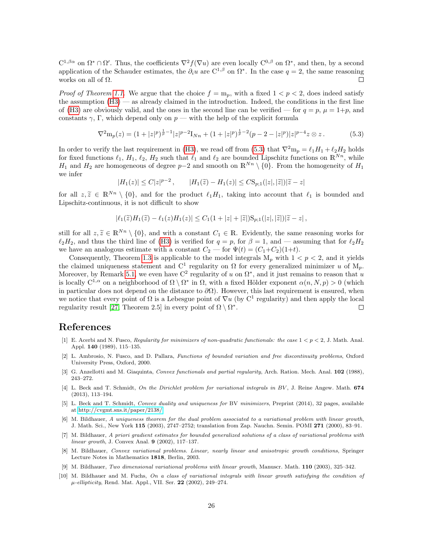$C^{1,\beta\alpha}$  on  $\Omega^*\cap\Omega'$ . Thus, the coefficients  $\nabla^2 f(\nabla u)$  are even locally  $C^{0,\beta}$  on  $\Omega^*$ , and then, by a second application of the Schauder estimates, the  $\partial_i u$  are  $C^{1,\beta}$  on  $\Omega^*$ . In the case  $q=2$ , the same reasoning works on all of  $\Omega$ .  $\Box$ 

*Proof of Theorem [1.1.](#page-1-3)* We argue that the choice  $f = m_p$ , with a fixed  $1 < p < 2$ , does indeed satisfy the assumption [\(H3\)](#page-3-1) — as already claimed in the introduction. Indeed, the conditions in the first line of [\(H3\)](#page-3-1) are obviously valid, and the ones in the second line can be verified — for  $q = p$ ,  $\mu = 1+p$ , and constants  $\gamma$ , Γ, which depend only on  $p$  — with the help of the explicit formula

<span id="page-25-10"></span>
$$
\nabla^2 \mathbf{m}_p(z) = (1+|z|^p)^{\frac{1}{p}-1}|z|^{p-2}\mathbf{I}_{Nn} + (1+|z|^p)^{\frac{1}{p}-2}(p-2-|z|^p)|z|^{p-4}z \otimes z. \tag{5.3}
$$

In order to verify the last requirement in [\(H3\)](#page-3-1), we read off from [\(5.3\)](#page-25-10) that  $\nabla^2 m_p = \ell_1 H_1 + \ell_2 H_2$  holds for fixed functions  $\ell_1, H_1, \ell_2, H_2$  such that  $\ell_1$  and  $\ell_2$  are bounded Lipschitz functions on  $\mathbb{R}^{Nn}$ , while H<sub>1</sub> and H<sub>2</sub> are homogeneous of degree p–2 and smooth on  $\mathbb{R}^{N_n} \setminus \{0\}$ . From the homogeneity of H<sub>1</sub> we infer

$$
|H_1(z)| \le C|z|^{p-2}, \qquad |H_1(\tilde{z}) - H_1(z)| \le C\mathcal{S}_{p,1}(|z|,|\tilde{z}|)|\tilde{z} - z|
$$

for all  $z, \tilde{z} \in \mathbb{R}^{Nn} \setminus \{0\}$ , and for the product  $\ell_1H_1$ , taking into account that  $\ell_1$  is bounded and<br>Linschitz continuous it is not difficult to show Lipschitz-continuous, it is not difficult to show

$$
|\ell_1(\widetilde{z})H_1(\widetilde{z}) - \ell_1(z)H_1(z)| \leq C_1(1+|z|+|\widetilde{z}|)S_{p;1}(|z|,|\widetilde{z}|)|\widetilde{z} - z|,
$$

still for all  $z, \tilde{z} \in \mathbb{R}^{N_n} \setminus \{0\}$ , and with a constant  $C_1 \in \mathbb{R}$ . Evidently, the same reasoning works for  $\ell_2H_2$ , and thus the third line of [\(H3\)](#page-3-1) is verified for  $q = p$ , for  $\beta = 1$ , and — assuming that for  $\ell_2H_2$ we have an analogous estimate with a constant  $C_2$  — for  $\Psi(t) = (C_1+C_2)(1+t)$ .

Consequently, Theorem [1.3](#page-3-0) is applicable to the model integrals  $M_p$  with  $1 < p < 2$ , and it yields the claimed uniqueness statement and  $C^1$  regularity on  $\Omega$  for every generalized minimizer u of  $M_p$ . Moreover, by Remark [5.1,](#page-24-2) we even have  $\mathbb{C}^2$  regularity of u on  $\Omega^*$ , and it just remains to reason that u is locally  $C^{1,\alpha}$  on a neighborhood of  $\Omega \setminus \Omega^*$  in  $\Omega$ , with a fixed Hölder exponent  $\alpha(n, N, p) > 0$  (which in particular does not depend on the distance to  $\partial\Omega$ ). However, this last requirement is ensured, when we notice that every point of  $\Omega$  is a Lebesgue point of  $\nabla u$  (by  $C^1$  regularity) and then apply the local regularity result [\[27,](#page-26-8) Theorem 2.5] in every point of  $\Omega \setminus \Omega^*$ .  $\Box$ 

# References

- <span id="page-25-7"></span>[1] E. Acerbi and N. Fusco, Regularity for minimizers of non-quadratic functionals: the case  $1 < p < 2$ , J. Math. Anal. Appl. 140 (1989), 115–135.
- <span id="page-25-9"></span>[2] L. Ambrosio, N. Fusco, and D. Pallara, Functions of bounded variation and free discontinuity problems, Oxford University Press, Oxford, 2000.
- <span id="page-25-5"></span>[3] G. Anzellotti and M. Giaquinta, Convex functionals and partial regularity, Arch. Ration. Mech. Anal. 102 (1988), 243–272.
- <span id="page-25-2"></span>[4] L. Beck and T. Schmidt, On the Dirichlet problem for variational integrals in BV, J. Reine Angew. Math. 674 (2013), 113–194.
- <span id="page-25-3"></span>[5] L. Beck and T. Schmidt, Convex duality and uniqueness for BV minimizers, Preprint (2014), 32 pages, available at [http://cvgmt.sns.it/paper/2138/.](http://cvgmt.sns.it/paper/2138/)
- <span id="page-25-8"></span>[6] M. Bildhauer, A uniqueness theorem for the dual problem associated to a variational problem with linear growth, J. Math. Sci., New York 115 (2003), 2747–2752; translation from Zap. Nauchn. Semin. POMI 271 (2000), 83–91.
- <span id="page-25-1"></span>[7] M. Bildhauer, A priori gradient estimates for bounded generalized solutions of a class of variational problems with linear growth, J. Convex Anal. 9 (2002), 117–137.
- <span id="page-25-6"></span>[8] M. Bildhauer, Convex variational problems. Linear, nearly linear and anisotropic growth conditions, Springer Lecture Notes in Mathematics 1818, Berlin, 2003.
- <span id="page-25-4"></span>[9] M. Bildhauer, Two dimensional variational problems with linear growth, Manuscr. Math. 110 (2003), 325–342.
- <span id="page-25-0"></span>[10] M. Bildhauer and M. Fuchs, On a class of variational integrals with linear growth satisfying the condition of  $\mu\text{-}\ell ellipticity,$  Rend. Mat. Appl., VII. Ser.  $\bf 22$  (2002), 249–274.